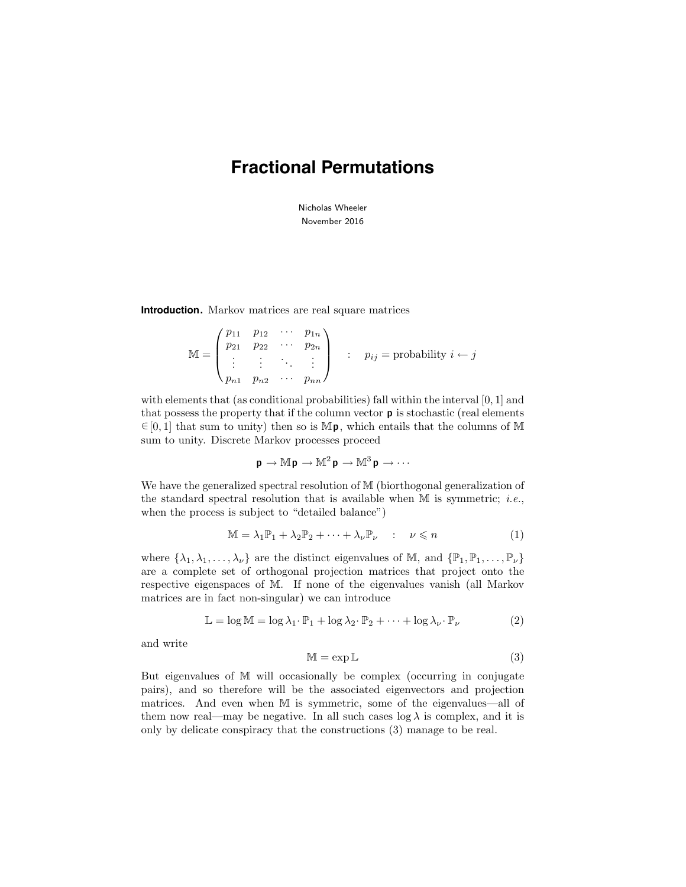Nicholas Wheeler November 2016

**Introduction.** Markov matrices are real square matrices

$$
\mathbb{M} = \begin{pmatrix} p_{11} & p_{12} & \cdots & p_{1n} \\ p_{21} & p_{22} & \cdots & p_{2n} \\ \vdots & \vdots & \ddots & \vdots \\ p_{n1} & p_{n2} & \cdots & p_{nn} \end{pmatrix} : p_{ij} = \text{probability } i \leftarrow j
$$

with elements that (as conditional probabilities) fall within the interval [0, 1] and that possess the property that if the column vector  $\mathbf p$  is stochastic (real elements  $\in [0, 1]$  that sum to unity) then so is Mp, which entails that the columns of M sum to unity. Discrete Markov processes proceed

$$
\mathbf{p} \to \mathbb{M} \mathbf{p} \to \mathbb{M}^2 \mathbf{p} \to \mathbb{M}^3 \mathbf{p} \to \cdots
$$

We have the generalized spectral resolution of  $M$  (biorthogonal generalization of the standard spectral resolution that is available when  $M$  is symmetric; *i.e.*, when the process is subject to "detailed balance")

$$
\mathbb{M} = \lambda_1 \mathbb{P}_1 + \lambda_2 \mathbb{P}_2 + \dots + \lambda_\nu \mathbb{P}_\nu \quad : \quad \nu \leq n \tag{1}
$$

where  $\{\lambda_1, \lambda_1, \ldots, \lambda_{\nu}\}\$  are the distinct eigenvalues of M, and  $\{\mathbb{P}_1, \mathbb{P}_1, \ldots, \mathbb{P}_{\nu}\}\$ are a complete set of orthogonal projection matrices that project onto the respective eigenspaces of M. If none of the eigenvalues vanish (all Markov matrices are in fact non-singular) we can introduce

$$
\mathbb{L} = \log \mathbb{M} = \log \lambda_1 \cdot \mathbb{P}_1 + \log \lambda_2 \cdot \mathbb{P}_2 + \dots + \log \lambda_\nu \cdot \mathbb{P}_\nu \tag{2}
$$

and write

$$
\mathbb{M} = \exp \mathbb{L} \tag{3}
$$

But eigenvalues of M will occasionally be complex (occurring in conjugate pairs), and so therefore will be the associated eigenvectors and projection matrices. And even when M is symmetric, some of the eigenvalues—all of them now real—may be negative. In all such cases  $\log \lambda$  is complex, and it is only by delicate conspiracy that the constructions (3) manage to be real.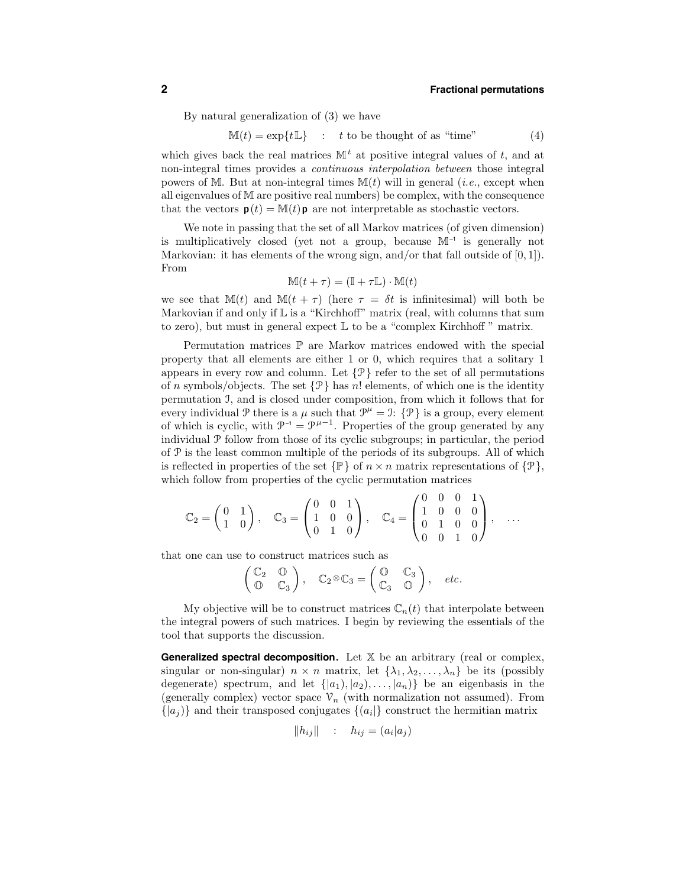By natural generalization of (3) we have

 $M(t) = \exp\{tL\}$  : t to be thought of as "time" (4)

which gives back the real matrices  $\mathbb{M}^t$  at positive integral values of t, and at non-integral times provides a continuous interpolation between those integral powers of M. But at non-integral times  $\mathbb{M}(t)$  will in general (*i.e.*, except when all eigenvalues of M are positive real numbers) be complex, with the consequence that the vectors  $\mathbf{p}(t) = \mathbb{M}(t)\mathbf{p}$  are not interpretable as stochastic vectors.

We note in passing that the set of all Markov matrices (of given dimension) is multiplicatively closed (yet not a group, because  $\mathbb{M}^{-1}$  is generally not Markovian: it has elements of the wrong sign, and/or that fall outside of  $[0, 1]$ . From

$$
M(t+\tau) = (I + \tau L) \cdot M(t)
$$

we see that  $M(t)$  and  $M(t + \tau)$  (here  $\tau = \delta t$  is infinitesimal) will both be Markovian if and only if  $\mathbb L$  is a "Kirchhoff" matrix (real, with columns that sum to zero), but must in general expect L to be a "complex Kirchhoff " matrix.

Permutation matrices  $\mathbb P$  are Markov matrices endowed with the special property that all elements are either 1 or 0, which requires that a solitary 1 appears in every row and column. Let  $\{\mathcal{P}\}\$  refer to the set of all permutations of n symbols/objects. The set  $\{\mathcal{P}\}\$  has n! elements, of which one is the identity permutation I, and is closed under composition, from which it follows that for every individual P there is a  $\mu$  such that  $\mathcal{P}^{\mu} = \mathcal{I}$ :  $\{\mathcal{P}\}\$ is a group, every element of which is cyclic, with  $\mathcal{P}^{-1} = \mathcal{P}^{\mu-1}$ . Properties of the group generated by any individual P follow from those of its cyclic subgroups; in particular, the period of P is the least common multiple of the periods of its subgroups. All of which is reflected in properties of the set  $\{\mathbb{P}\}\$  of  $n \times n$  matrix representations of  $\{\mathcal{P}\}\$ , which follow from properties of the cyclic permutation matrices

$$
\mathbb{C}_2 = \begin{pmatrix} 0 & 1 \\ 1 & 0 \end{pmatrix}, \quad \mathbb{C}_3 = \begin{pmatrix} 0 & 0 & 1 \\ 1 & 0 & 0 \\ 0 & 1 & 0 \end{pmatrix}, \quad \mathbb{C}_4 = \begin{pmatrix} 0 & 0 & 0 & 1 \\ 1 & 0 & 0 & 0 \\ 0 & 1 & 0 & 0 \\ 0 & 0 & 1 & 0 \end{pmatrix}, \quad \ldots
$$

that one can use to construct matrices such as

$$
\begin{pmatrix} \mathbb{C}_2 & \mathbb{O} \\ \mathbb{O} & \mathbb{C}_3 \end{pmatrix}
$$
,  $\mathbb{C}_2 \otimes \mathbb{C}_3 = \begin{pmatrix} \mathbb{O} & \mathbb{C}_3 \\ \mathbb{C}_3 & \mathbb{O} \end{pmatrix}$ , etc.

My objective will be to construct matrices  $\mathbb{C}_n(t)$  that interpolate between the integral powers of such matrices. I begin by reviewing the essentials of the tool that supports the discussion.

**Generalized spectral decomposition.** Let X be an arbitrary (real or complex, singular or non-singular)  $n \times n$  matrix, let  $\{\lambda_1, \lambda_2, ..., \lambda_n\}$  be its (possibly degenerate) spectrum, and let  $\{|a_1\rangle, |a_2\rangle, \ldots, |a_n\rangle\}$  be an eigenbasis in the (generally complex) vector space  $\mathcal{V}_n$  (with normalization not assumed). From  $\{|a_i\rangle\}$  and their transposed conjugates  $\{|a_i|\}$  construct the hermitian matrix

$$
||h_{ij}|| \qquad \qquad ; \qquad h_{ij} = (a_i | a_j)
$$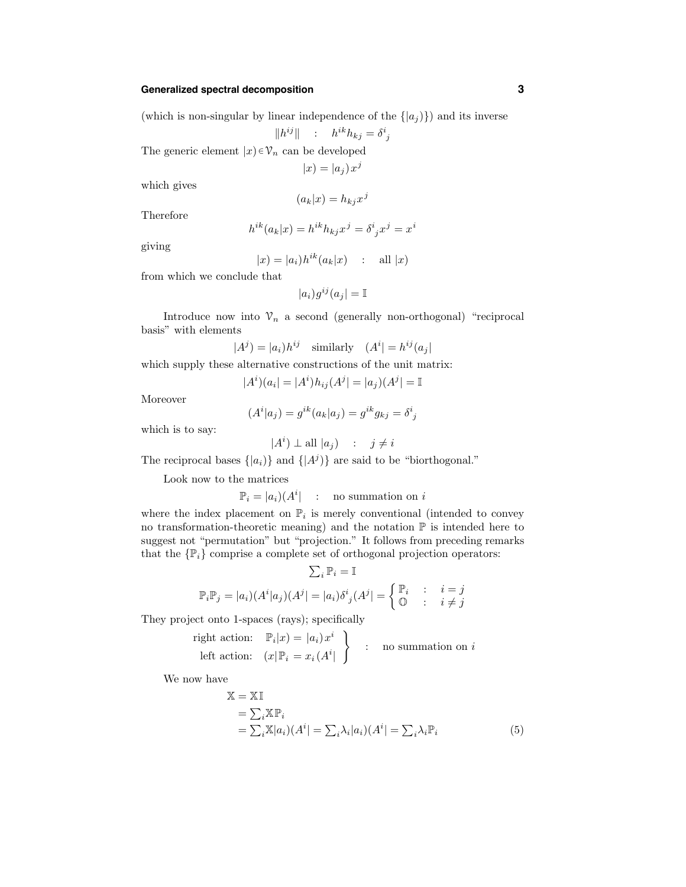# **Generalized spectral decomposition 3**

(which is non-singular by linear independence of the  $\{|a_j\rangle\}$ ) and its inverse

$$
\|h^{ij}\| \qquad \colon \quad h^{ik}h_{kj} = \delta^i_{\ j}
$$

The generic element  $|x\rangle \in \mathcal{V}_n$  can be developed

 $|x| = |a_i |x^j$ 

which gives

Therefore

$$
(a_k|x) = h_{kj}x^j
$$

$$
h^{ik}(a_k|x) = h^{ik}h_{kj}x^j = \delta^i_j x^j = x^i
$$

giving

$$
|x| = |a_i| h^{ik} (a_k | x) \quad : \quad \text{all } |x)
$$

from which we conclude that

$$
|a_i)g^{ij}(a_j|=\mathbb{I}
$$

Introduce now into  $\mathcal{V}_n$  a second (generally non-orthogonal) "reciprocal basis" with elements

$$
|A^j| = |a_i| h^{ij} \quad \text{similarly} \quad (A^i| = h^{ij}(a_j)
$$

which supply these alternative constructions of the unit matrix:

$$
|A^i)(a_i| = |A^i)h_{ij}(A^j| = |a_j)(A^j| = \mathbb{I}
$$

Moreover

$$
(Ai|aj) = gik(ak|aj) = gikgkj = \deltaij
$$

which is to say:

$$
|A^i) \perp \text{all } |a_j) \quad : \quad j \neq i
$$

The reciprocal bases  $\{|a_i\rangle\}$  and  $\{|A^j\rangle\}$  are said to be "biorthogonal."

Look now to the matrices

$$
\mathbb{P}_i = |a_i\rangle(A^i| \qquad \text{in summation on } i
$$

where the index placement on  $\mathbb{P}_i$  is merely conventional (intended to convey no transformation-theoretic meaning) and the notation  $\mathbb P$  is intended here to suggest not "permutation" but "projection." It follows from preceding remarks that the  $\{P_i\}$  comprise a complete set of orthogonal projection operators:

$$
\sum_{i} \mathbb{P}_{i} = \mathbb{I}
$$
  

$$
\mathbb{P}_{i} \mathbb{P}_{j} = |a_{i})(A^{i}|a_{j})(A^{j}| = |a_{i})\delta^{i}_{j}(A^{j}) = \begin{cases} \mathbb{P}_{i} & \colon i = j \\ \mathbb{O} & \colon i \neq j \end{cases}
$$

They project onto 1-spaces (rays); specifically

right action: 
$$
\mathbb{P}_i|x) = |a_i)x^i
$$
  
left action:  $(x|\mathbb{P}_i = x_i(A^i)$  : no summation on *i*

We now have

$$
\mathbb{X} = \mathbb{X} \mathbb{I}
$$
  
=  $\sum_{i} \mathbb{X} \mathbb{P}_{i}$   
=  $\sum_{i} \mathbb{X} |a_{i}| (A^{i}| = \sum_{i} \lambda_{i} |a_{i}) (A^{i}| = \sum_{i} \lambda_{i} \mathbb{P}_{i}$  (5)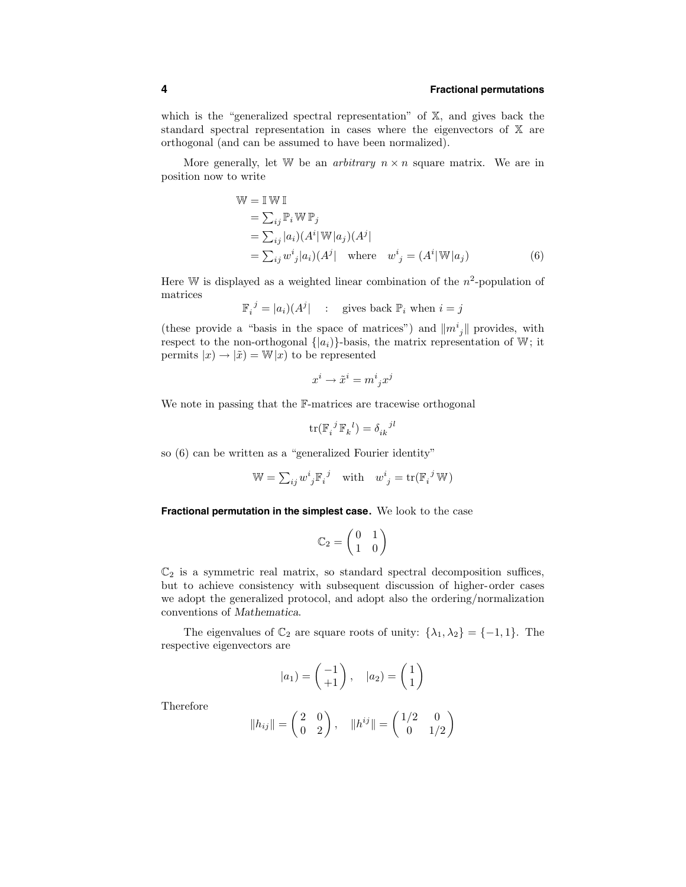which is the "generalized spectral representation" of X, and gives back the standard spectral representation in cases where the eigenvectors of X are orthogonal (and can be assumed to have been normalized).

More generally, let W be an *arbitrary*  $n \times n$  square matrix. We are in position now to write

$$
\mathbb{W} = \mathbb{I} \mathbb{W} \mathbb{I}
$$
  
\n
$$
= \sum_{ij} \mathbb{P}_i \mathbb{W} \mathbb{P}_j
$$
  
\n
$$
= \sum_{ij} |a_i| (A^i | \mathbb{W} | a_j) (A^j |
$$
  
\n
$$
= \sum_{ij} w^i_j |a_i| (A^j | \text{ where } w^i{}_j = (A^i | \mathbb{W} | a_j)
$$
 (6)

Here W is displayed as a weighted linear combination of the  $n^2$ -population of matrices

$$
\mathbb{F}_i^{\ j} = |a_i|(A^j| \quad : \quad \text{gives back } \mathbb{P}_i \text{ when } i = j
$$

(these provide a "basis in the space of matrices") and  $||m_j||$  provides, with respect to the non-orthogonal  $\{|a_i\rangle\}$ -basis, the matrix representation of W; it permits  $|x) \rightarrow |\tilde{x}| = \mathbb{W}|x$  to be represented

$$
x^i\rightarrow \tilde{x}^i=m^i_{\ j}x^j
$$

We note in passing that the F-matrices are tracewise orthogonal

$$
\mathrm{tr}(\mathbb{F_i}^j\,\mathbb{F_k}^l)=\delta_{ik}^{\phantom{ik}jl}
$$

so (6) can be written as a "generalized Fourier identity"

$$
\mathbb{W} = \textstyle \sum_{ij} w^i{}_j \mathbb{F}^{j}_i \quad \text{with} \quad w^i{}_j = \text{tr}(\mathbb{F}^{j}_i \mathbb{W})
$$

**Fractional permutation in the simplest case.** We look to the case

$$
\mathbb{C}_2=\left(\begin{matrix}0&1\\1&0\end{matrix}\right)
$$

 $\mathbb{C}_2$  is a symmetric real matrix, so standard spectral decomposition suffices, but to achieve consistency with subsequent discussion of higher-order cases we adopt the generalized protocol, and adopt also the ordering/normalization conventions of Mathematica.

The eigenvalues of  $\mathbb{C}_2$  are square roots of unity:  $\{\lambda_1, \lambda_2\} = \{-1, 1\}$ . The respective eigenvectors are

$$
|a_1| = \begin{pmatrix} -1 \\ +1 \end{pmatrix}, \quad |a_2| = \begin{pmatrix} 1 \\ 1 \end{pmatrix}
$$

Therefore

$$
||h_{ij}|| = \begin{pmatrix} 2 & 0 \\ 0 & 2 \end{pmatrix}, \quad ||h^{ij}|| = \begin{pmatrix} 1/2 & 0 \\ 0 & 1/2 \end{pmatrix}
$$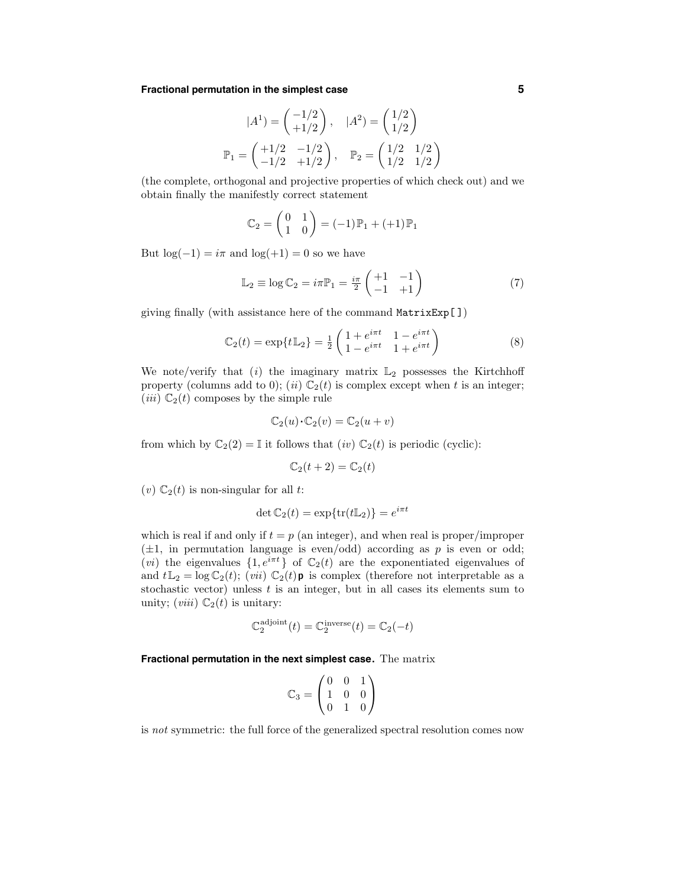## **Fractional permutation in the simplest case 5**

$$
|A^{1}\rangle = \begin{pmatrix} -1/2 \\ +1/2 \end{pmatrix}, \quad |A^{2}\rangle = \begin{pmatrix} 1/2 \\ 1/2 \end{pmatrix}
$$

$$
\mathbb{P}_{1} = \begin{pmatrix} +1/2 & -1/2 \\ -1/2 & +1/2 \end{pmatrix}, \quad \mathbb{P}_{2} = \begin{pmatrix} 1/2 & 1/2 \\ 1/2 & 1/2 \end{pmatrix}
$$

(the complete, orthogonal and projective properties of which check out) and we obtain finally the manifestly correct statement

$$
\mathbb{C}_2 = \begin{pmatrix} 0 & 1 \\ 1 & 0 \end{pmatrix} = (-1)\mathbb{P}_1 + (+1)\mathbb{P}_1
$$

But  $log(-1) = i\pi$  and  $log(+1) = 0$  so we have

$$
\mathbb{L}_2 \equiv \log \mathbb{C}_2 = i\pi \mathbb{P}_1 = \frac{i\pi}{2} \begin{pmatrix} +1 & -1 \\ -1 & +1 \end{pmatrix}
$$
 (7)

giving finally (with assistance here of the command MatrixExp[ ])

$$
\mathbb{C}_2(t) = \exp\{t\mathbb{L}_2\} = \frac{1}{2} \begin{pmatrix} 1 + e^{i\pi t} & 1 - e^{i\pi t} \\ 1 - e^{i\pi t} & 1 + e^{i\pi t} \end{pmatrix}
$$
 (8)

We note/verify that (i) the imaginary matrix  $\mathbb{L}_2$  possesses the Kirtchhoff property (columns add to 0); (ii)  $\mathbb{C}_2(t)$  is complex except when t is an integer; (*iii*)  $\mathbb{C}_2(t)$  composes by the simple rule

$$
\mathbb{C}_2(u)\cdot \mathbb{C}_2(v) = \mathbb{C}_2(u+v)
$$

from which by  $\mathbb{C}_2(2) = \mathbb{I}$  it follows that  $(iv)$   $\mathbb{C}_2(t)$  is periodic (cyclic):

$$
\mathbb{C}_2(t+2) = \mathbb{C}_2(t)
$$

(v)  $\mathbb{C}_2(t)$  is non-singular for all t:

$$
\det \mathbb{C}_2(t) = \exp\{\text{tr}(t\mathbb{L}_2)\} = e^{i\pi t}
$$

which is real if and only if  $t = p$  (an integer), and when real is proper/improper  $(\pm 1, \text{ in permutation language is even/odd})$  according as p is even or odd; (*vi*) the eigenvalues  $\{1, e^{i\pi t}\}\$  of  $\mathbb{C}_2(t)$  are the exponentiated eigenvalues of and  $t\mathbb{L}_2 = \log \mathbb{C}_2(t)$ ; (*vii*)  $\mathbb{C}_2(t)$ **p** is complex (therefore not interpretable as a stochastic vector) unless  $t$  is an integer, but in all cases its elements sum to unity;  $(viii) \mathbb{C}_2(t)$  is unitary:

$$
\mathbb{C}_2^{\text{adjoint}}(t) = \mathbb{C}_2^{\text{inverse}}(t) = \mathbb{C}_2(-t)
$$

**Fractional permutation in the next simplest case.** The matrix

$$
\mathbb{C}_3 = \begin{pmatrix} 0 & 0 & 1 \\ 1 & 0 & 0 \\ 0 & 1 & 0 \end{pmatrix}
$$

is not symmetric: the full force of the generalized spectral resolution comes now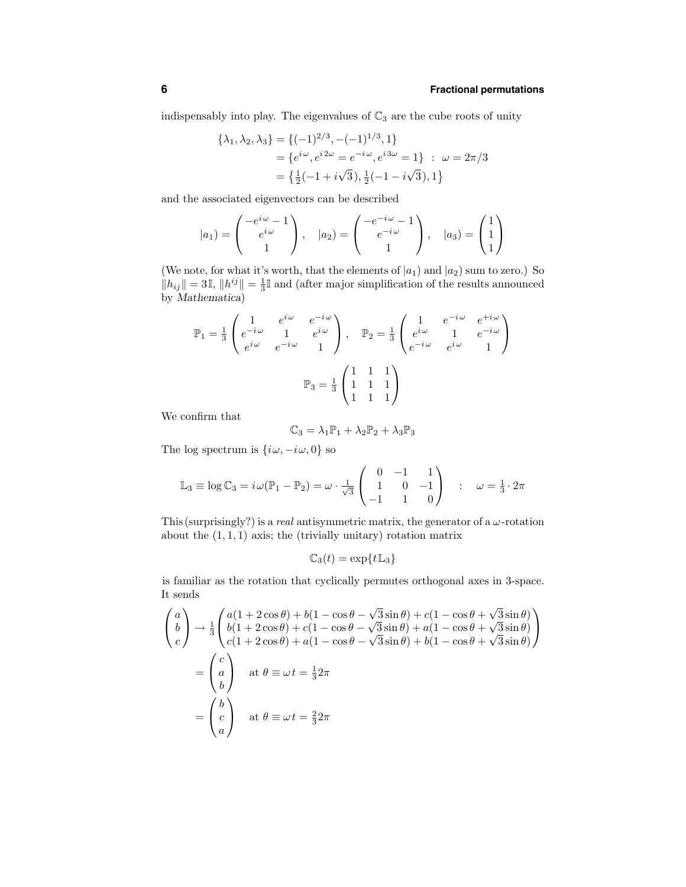indispensably into play. The eigenvalues of  $\mathbb{C}_3$  are the cube roots of unity

$$
\{\lambda_1, \lambda_2, \lambda_3\} = \{(-1)^{2/3}, -(-1)^{1/3}, 1\}
$$
  
=  $\{e^{i\omega}, e^{i2\omega} = e^{-i\omega}, e^{i3\omega} = 1\}$  :  $\omega = 2\pi/3$   
=  $\{\frac{1}{2}(-1 + i\sqrt{3}), \frac{1}{2}(-1 - i\sqrt{3}), 1\}$ 

and the associated eigenvectors can be described

$$
|a_1\rangle = \begin{pmatrix} -e^{i\omega} - 1 \\ e^{i\omega} \\ 1 \end{pmatrix}, \quad |a_2\rangle = \begin{pmatrix} -e^{-i\omega} - 1 \\ e^{-i\omega} \\ 1 \end{pmatrix}, \quad |a_3\rangle = \begin{pmatrix} 1 \\ 1 \\ 1 \end{pmatrix}
$$

(We note, for what it's worth, that the elements of  $|a_1\rangle$  and  $|a_2\rangle$  sum to zero.) So  $||h_{ij}|| = 3\mathbb{I}, ||h^{ij}|| = \frac{1}{3}\mathbb{I}$  and (after major simplification of the results announced by Mathematica)

$$
\mathbb{P}_{1} = \frac{1}{3} \begin{pmatrix} 1 & e^{i\omega} & e^{-i\omega} \\ e^{-i\omega} & 1 & e^{i\omega} \\ e^{i\omega} & e^{-i\omega} & 1 \end{pmatrix}, \quad \mathbb{P}_{2} = \frac{1}{3} \begin{pmatrix} 1 & e^{-i\omega} & e^{+i\omega} \\ e^{i\omega} & 1 & e^{-i\omega} \\ e^{-i\omega} & e^{i\omega} & 1 \end{pmatrix}
$$

$$
\mathbb{P}_{3} = \frac{1}{3} \begin{pmatrix} 1 & 1 & 1 \\ 1 & 1 & 1 \\ 1 & 1 & 1 \end{pmatrix}
$$

We confirm that

$$
\mathbb{C}_3 = \lambda_1 \mathbb{P}_1 + \lambda_2 \mathbb{P}_2 + \lambda_3 \mathbb{P}_3
$$

The log spectrum is  $\{i\omega, -i\omega, 0\}$  so

$$
\mathbb{L}_3 \equiv \log \mathbb{C}_3 = i \omega (\mathbb{P}_1 - \mathbb{P}_2) = \omega \cdot \frac{1}{\sqrt{3}} \begin{pmatrix} 0 & -1 & 1 \\ 1 & 0 & -1 \\ -1 & 1 & 0 \end{pmatrix} : \omega = \frac{1}{3} \cdot 2\pi
$$

This (surprisingly?) is a *real* antisymmetric matrix, the generator of a  $\omega$ -rotation about the  $(1, 1, 1)$  axis; the (trivially unitary) rotation matrix

$$
\mathbb{C}_3(t) = \exp\{t\mathbb{L}_3\}
$$

is familiar as the rotation that cyclically permutes orthogonal axes in 3-space. It sends

$$
\begin{pmatrix} a \\ b \\ c \end{pmatrix} \rightarrow \frac{1}{3} \begin{pmatrix} a(1+2\cos\theta) + b(1-\cos\theta-\sqrt{3}\sin\theta) + c(1-\cos\theta+\sqrt{3}\sin\theta) \\ b(1+2\cos\theta) + c(1-\cos\theta-\sqrt{3}\sin\theta) + a(1-\cos\theta+\sqrt{3}\sin\theta) \\ c(1+2\cos\theta) + a(1-\cos\theta-\sqrt{3}\sin\theta) + b(1-\cos\theta+\sqrt{3}\sin\theta) \end{pmatrix}
$$

$$
= \begin{pmatrix} c \\ a \\ b \end{pmatrix} \text{ at } \theta \equiv \omega t = \frac{1}{3}2\pi
$$

$$
= \begin{pmatrix} b \\ c \\ a \end{pmatrix} \text{ at } \theta \equiv \omega t = \frac{2}{3}2\pi
$$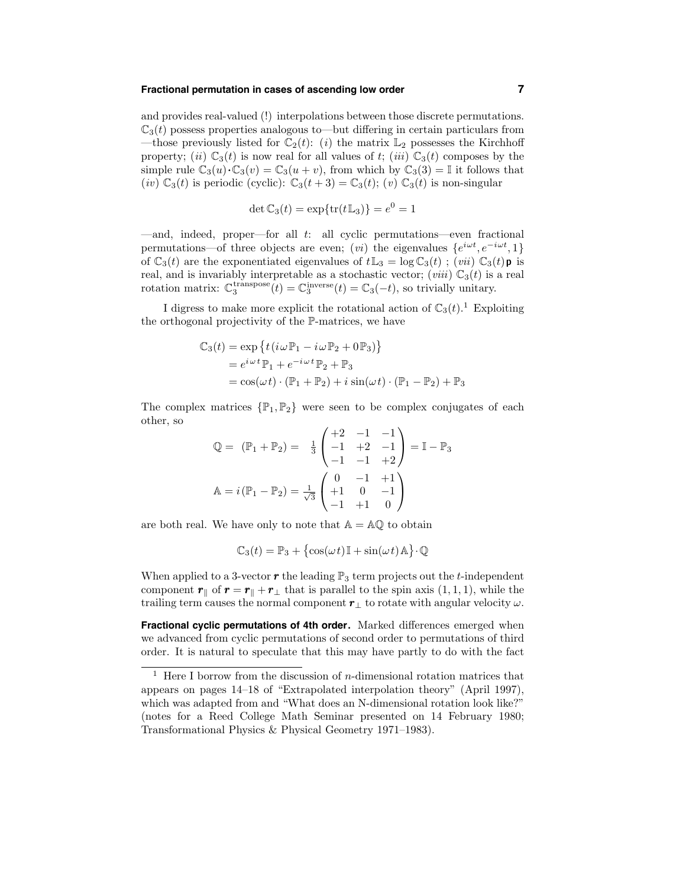## **Fractional permutation in cases of ascending low order 7**

and provides real-valued (!) interpolations between those discrete permutations.  $\mathbb{C}_3(t)$  possess properties analogous to—but differing in certain particulars from —those previously listed for  $\mathbb{C}_2(t)$ : (i) the matrix  $\mathbb{L}_2$  possesses the Kirchhoff property; (ii)  $\mathbb{C}_3(t)$  is now real for all values of t; (iii)  $\mathbb{C}_3(t)$  composes by the simple rule  $\mathbb{C}_3(u) \cdot \mathbb{C}_3(v) = \mathbb{C}_3(u+v)$ , from which by  $\mathbb{C}_3(3) = \mathbb{I}$  it follows that (iv)  $\mathbb{C}_3(t)$  is periodic (cyclic):  $\mathbb{C}_3(t+3) = \mathbb{C}_3(t)$ ; (v)  $\mathbb{C}_3(t)$  is non-singular

$$
\det \mathbb{C}_3(t) = \exp\{\text{tr}(t\mathbb{L}_3)\} = e^0 = 1
$$

 $-$ and, indeed, proper—for all t: all cyclic permutations—even fractional permutations—of three objects are even; (*vi*) the eigenvalues  $\{e^{i\omega t}, e^{-i\omega t}, 1\}$ of  $\mathbb{C}_3(t)$  are the exponentiated eigenvalues of  $t\mathbb{L}_3 = \log \mathbb{C}_3(t)$ ; (vii)  $\mathbb{C}_3(t)$  is real, and is invariably interpretable as a stochastic vector;  $(viii) \mathbb{C}_3(t)$  is a real rotation matrix:  $\mathbb{C}_3^{\text{transpose}}(t) = \mathbb{C}_3^{\text{inverse}}(t) = \mathbb{C}_3(-t)$ , so trivially unitary.

I digress to make more explicit the rotational action of  $\mathbb{C}_3(t)$ .<sup>1</sup> Exploiting the orthogonal projectivity of the P-matrices, we have

$$
\mathbb{C}_{3}(t) = \exp \left\{ t \left( i\omega \mathbb{P}_{1} - i\omega \mathbb{P}_{2} + 0\mathbb{P}_{3} \right) \right\}
$$
  
=  $e^{i\omega t} \mathbb{P}_{1} + e^{-i\omega t} \mathbb{P}_{2} + \mathbb{P}_{3}$   
=  $\cos(\omega t) \cdot (\mathbb{P}_{1} + \mathbb{P}_{2}) + i \sin(\omega t) \cdot (\mathbb{P}_{1} - \mathbb{P}_{2}) + \mathbb{P}_{3}$ 

The complex matrices  $\{\mathbb{P}_1,\mathbb{P}_2\}$  were seen to be complex conjugates of each other, so

$$
\mathbb{Q} = (\mathbb{P}_1 + \mathbb{P}_2) = \frac{1}{3} \begin{pmatrix} +2 & -1 & -1 \\ -1 & +2 & -1 \\ -1 & -1 & +2 \end{pmatrix} = \mathbb{I} - \mathbb{P}_3
$$

$$
\mathbb{A} = i(\mathbb{P}_1 - \mathbb{P}_2) = \frac{1}{\sqrt{3}} \begin{pmatrix} 0 & -1 & +1 \\ +1 & 0 & -1 \\ -1 & +1 & 0 \end{pmatrix}
$$

are both real. We have only to note that  $A = AQ$  to obtain

$$
\mathbb{C}_3(t) = \mathbb{P}_3 + \left\{ \cos(\omega t) \mathbb{I} + \sin(\omega t) \mathbb{A} \right\} \cdot \mathbb{Q}
$$

When applied to a 3-vector  $\boldsymbol{r}$  the leading  $\mathbb{P}_3$  term projects out the t-independent component  $r_{\parallel}$  of  $r = r_{\parallel} + r_{\perp}$  that is parallel to the spin axis  $(1, 1, 1)$ , while the trailing term causes the normal component  $r_{\perp}$  to rotate with angular velocity  $\omega$ .

**Fractional cyclic permutations of 4th order.** Marked differences emerged when we advanced from cyclic permutations of second order to permutations of third order. It is natural to speculate that this may have partly to do with the fact

 $^{\rm 1}$  Here I borrow from the discussion of  $n\text{-dimensional rotation matrices}$  that appears on pages 14–18 of "Extrapolated interpolation theory" (April 1997), which was adapted from and "What does an N-dimensional rotation look like?" (notes for a Reed College Math Seminar presented on 14 February 1980; Transformational Physics & Physical Geometry 1971–1983).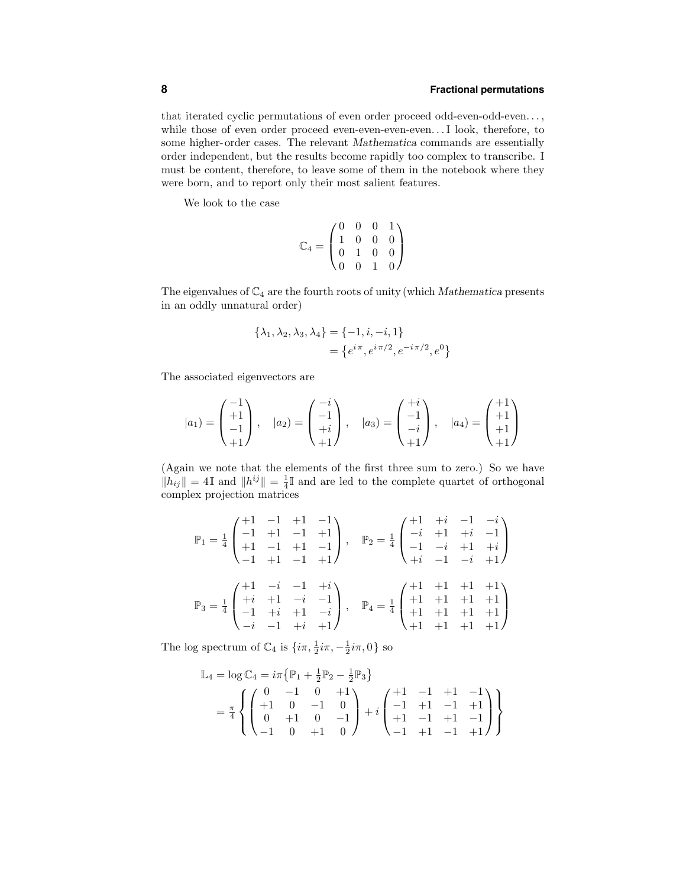that iterated cyclic permutations of even order proceed odd-even-odd-even. . . , while those of even order proceed even-even-even-even... I look, therefore, to some higher-order cases. The relevant Mathematica commands are essentially order independent, but the results become rapidly too complex to transcribe. I must be content, therefore, to leave some of them in the notebook where they were born, and to report only their most salient features.

We look to the case

$$
\mathbb{C}_4=\begin{pmatrix} 0 & 0 & 0 & 1 \\ 1 & 0 & 0 & 0 \\ 0 & 1 & 0 & 0 \\ 0 & 0 & 1 & 0 \end{pmatrix}
$$

The eigenvalues of  $\mathbb{C}_4$  are the fourth roots of unity (which Mathematica presents in an oddly unnatural order)

$$
\{\lambda_1, \lambda_2, \lambda_3, \lambda_4\} = \{-1, i, -i, 1\}
$$

$$
= \{e^{i\pi}, e^{i\pi/2}, e^{-i\pi/2}, e^0\}
$$

The associated eigenvectors are

$$
|a_1\rangle = \begin{pmatrix} -1 \\ +1 \\ -1 \\ +1 \end{pmatrix}, \quad |a_2\rangle = \begin{pmatrix} -i \\ -1 \\ +i \\ +1 \end{pmatrix}, \quad |a_3\rangle = \begin{pmatrix} +i \\ -1 \\ -i \\ +1 \end{pmatrix}, \quad |a_4\rangle = \begin{pmatrix} +1 \\ +1 \\ +1 \\ +1 \end{pmatrix}
$$

(Again we note that the elements of the first three sum to zero.) So we have  $||h_{ij}|| = 4\mathbb{I}$  and  $||h^{ij}|| = \frac{1}{4}\mathbb{I}$  and are led to the complete quartet of orthogonal complex projection matrices

$$
\mathbb{P}_1 = \frac{1}{4} \begin{pmatrix} +1 & -1 & +1 & -1 \\ -1 & +1 & -1 & +1 \\ +1 & -1 & +1 & -1 \\ -1 & +1 & -1 & +1 \end{pmatrix}, \quad \mathbb{P}_2 = \frac{1}{4} \begin{pmatrix} +1 & +i & -1 & -i \\ -i & +1 & +i & -1 \\ -1 & -i & +1 & +i \\ +i & -1 & -i & +1 \end{pmatrix}
$$

$$
\mathbb{P}_3 = \frac{1}{4} \begin{pmatrix} +1 & -i & -1 & +i \\ +i & +1 & -i & -1 \\ -1 & +i & +1 & -i \\ -i & -1 & +i & +1 \end{pmatrix}, \quad \mathbb{P}_4 = \frac{1}{4} \begin{pmatrix} +1 & +1 & +1 & +1 \\ +1 & +1 & +1 & +1 \\ +1 & +1 & +1 & +1 \\ +1 & +1 & +1 & +1 \end{pmatrix}
$$

The log spectrum of  $\mathbb{C}_4$  is  $\{i\pi, \frac{1}{2}i\pi, -\frac{1}{2}i\pi, 0\}$  so

$$
\mathbb{L}_4 = \log \mathbb{C}_4 = i\pi \left\{ \mathbb{P}_1 + \frac{1}{2} \mathbb{P}_2 - \frac{1}{2} \mathbb{P}_3 \right\}
$$
  
=  $\frac{\pi}{4} \left\{ \begin{pmatrix} 0 & -1 & 0 & +1 \\ +1 & 0 & -1 & 0 \\ 0 & +1 & 0 & -1 \\ -1 & 0 & +1 & 0 \end{pmatrix} + i \begin{pmatrix} +1 & -1 & +1 & -1 \\ -1 & +1 & -1 & +1 \\ +1 & -1 & +1 & -1 \\ -1 & +1 & -1 & +1 \end{pmatrix} \right\}$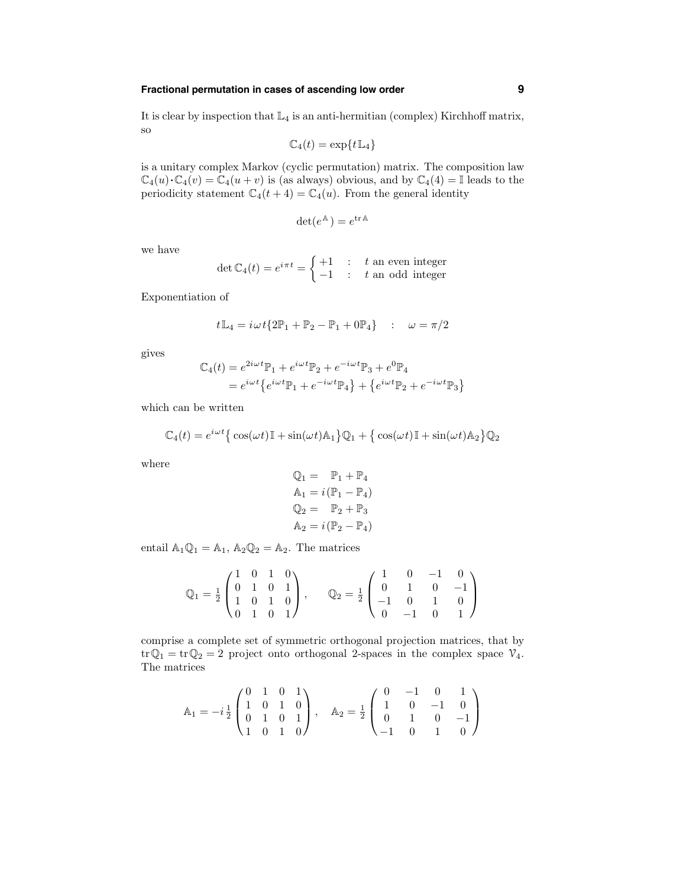# **Fractional permutation in cases of ascending low order 9**

It is clear by inspection that  $\mathbb{L}_4$  is an anti-hermitian (complex) Kirchhoff matrix, so

$$
\mathbb{C}_4(t) = \exp\{t\mathbb{L}_4\}
$$

is a unitary complex Markov (cyclic permutation) matrix. The composition law  $\mathbb{C}_4(u)\cdot\mathbb{C}_4(v)=\mathbb{C}_4(u+v)$  is (as always) obvious, and by  $\mathbb{C}_4(4)=\mathbb{I}$  leads to the periodicity statement  $\mathbb{C}_4(t+4) = \mathbb{C}_4(u)$ . From the general identity

$$
\det(e^{\mathbb{A}}) = e^{\operatorname{tr} \mathbb{A}}
$$

we have

$$
\det \mathbb{C}_4(t) = e^{i\pi t} = \begin{cases} +1 & : \quad t \text{ an even integer} \\ -1 & : \quad t \text{ an odd integer} \end{cases}
$$

Exponentiation of

$$
t\mathbb{L}_4 = i\omega t \{2\mathbb{P}_1 + \mathbb{P}_2 - \mathbb{P}_1 + 0\mathbb{P}_4\} \qquad \therefore \qquad \omega = \pi/2
$$

gives

$$
\mathbb{C}_4(t) = e^{2i\omega t} \mathbb{P}_1 + e^{i\omega t} \mathbb{P}_2 + e^{-i\omega t} \mathbb{P}_3 + e^0 \mathbb{P}_4
$$
  
= 
$$
e^{i\omega t} \{ e^{i\omega t} \mathbb{P}_1 + e^{-i\omega t} \mathbb{P}_4 \} + \{ e^{i\omega t} \mathbb{P}_2 + e^{-i\omega t} \mathbb{P}_3 \}
$$

which can be written

$$
\mathbb{C}_4(t) = e^{i\omega t} \left\{ \cos(\omega t) \mathbb{I} + \sin(\omega t) \mathbb{A}_1 \right\} \mathbb{Q}_1 + \left\{ \cos(\omega t) \mathbb{I} + \sin(\omega t) \mathbb{A}_2 \right\} \mathbb{Q}_2
$$

where

$$
Q_1 = P_1 + P_4
$$
  
\n
$$
A_1 = i (P_1 - P_4)
$$
  
\n
$$
Q_2 = P_2 + P_3
$$
  
\n
$$
A_2 = i (P_2 - P_4)
$$

entail  $\mathbb{A}_1 \mathbb{Q}_1 = \mathbb{A}_1$ ,  $\mathbb{A}_2 \mathbb{Q}_2 = \mathbb{A}_2$ . The matrices

$$
\mathbb{Q}_1 = \frac{1}{2} \begin{pmatrix} 1 & 0 & 1 & 0 \\ 0 & 1 & 0 & 1 \\ 1 & 0 & 1 & 0 \\ 0 & 1 & 0 & 1 \end{pmatrix}, \qquad \mathbb{Q}_2 = \frac{1}{2} \begin{pmatrix} 1 & 0 & -1 & 0 \\ 0 & 1 & 0 & -1 \\ -1 & 0 & 1 & 0 \\ 0 & -1 & 0 & 1 \end{pmatrix}
$$

comprise a complete set of symmetric orthogonal projection matrices, that by  $tr\mathbb{Q}_1 = tr\mathbb{Q}_2 = 2$  project onto orthogonal 2-spaces in the complex space  $\mathcal{V}_4$ . The matrices

$$
\mathbb{A}_1 = -i\frac{1}{2} \begin{pmatrix} 0 & 1 & 0 & 1 \\ 1 & 0 & 1 & 0 \\ 0 & 1 & 0 & 1 \\ 1 & 0 & 1 & 0 \end{pmatrix}, \quad \mathbb{A}_2 = \frac{1}{2} \begin{pmatrix} 0 & -1 & 0 & 1 \\ 1 & 0 & -1 & 0 \\ 0 & 1 & 0 & -1 \\ -1 & 0 & 1 & 0 \end{pmatrix}
$$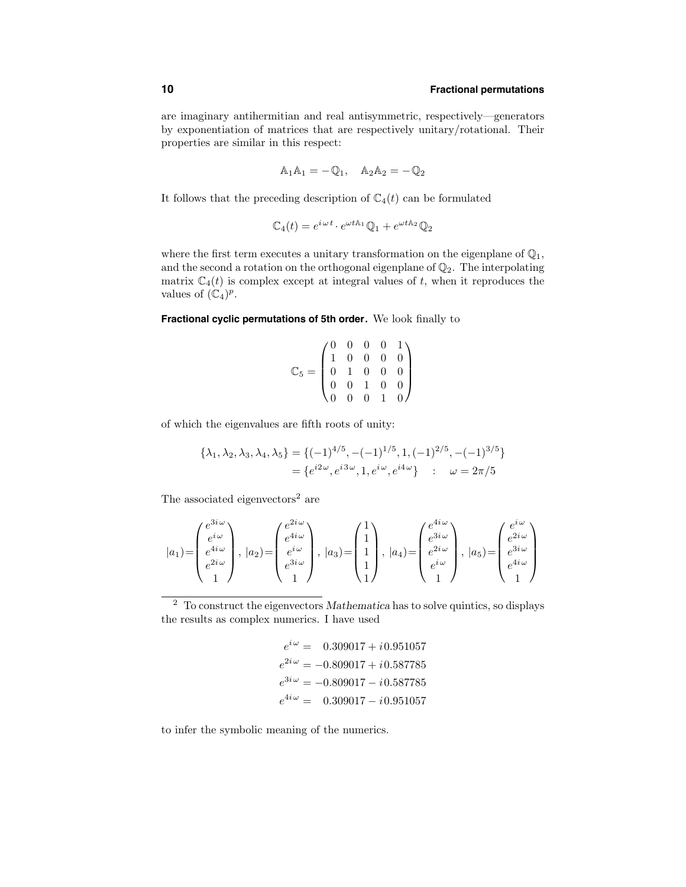are imaginary antihermitian and real antisymmetric, respectively—generators by exponentiation of matrices that are respectively unitary/rotational. Their properties are similar in this respect:

$$
\mathbb{A}_1 \mathbb{A}_1 = -\mathbb{Q}_1, \quad \mathbb{A}_2 \mathbb{A}_2 = -\mathbb{Q}_2
$$

It follows that the preceding description of  $\mathbb{C}_4(t)$  can be formulated

 $\mathbb{C}_4(t) = e^{i\omega t} \cdot e^{\omega t \mathbb{A}_1} \mathbb{Q}_1 + e^{\omega t \mathbb{A}_2} \mathbb{Q}_2$ 

where the first term executes a unitary transformation on the eigenplane of  $\mathbb{Q}_1$ , and the second a rotation on the orthogonal eigenplane of  $\mathbb{Q}_2$ . The interpolating matrix  $\mathbb{C}_4(t)$  is complex except at integral values of t, when it reproduces the values of  $(\mathbb{C}_4)^p$ .

**Fractional cyclic permutations of 5th order.** We look finally to

$$
\mathbb{C}_5=\left(\begin{matrix} 0 & 0 & 0 & 0 & 1 \\ 1 & 0 & 0 & 0 & 0 \\ 0 & 1 & 0 & 0 & 0 \\ 0 & 0 & 1 & 0 & 0 \\ 0 & 0 & 0 & 1 & 0 \end{matrix}\right)
$$

of which the eigenvalues are fifth roots of unity:

$$
\{\lambda_1, \lambda_2, \lambda_3, \lambda_4, \lambda_5\} = \{(-1)^{4/5}, -(-1)^{1/5}, 1, (-1)^{2/5}, -(-1)^{3/5}\}\
$$
  
=  $\{e^{i2\omega}, e^{i3\omega}, 1, e^{i\omega}, e^{i4\omega}\}\$  :  $\omega = 2\pi/5$ 

The associated eigenvectors<sup>2</sup> are

$$
|a_1\rangle = \begin{pmatrix} e^{3i\omega} \\ e^{i\omega} \\ e^{4i\omega} \\ e^{2i\omega} \\ 1 \end{pmatrix}, |a_2\rangle = \begin{pmatrix} e^{2i\omega} \\ e^{4i\omega} \\ e^{i\omega} \\ e^{3i\omega} \\ 1 \end{pmatrix}, |a_3\rangle = \begin{pmatrix} 1 \\ 1 \\ 1 \\ 1 \\ 1 \end{pmatrix}, |a_4\rangle = \begin{pmatrix} e^{4i\omega} \\ e^{3i\omega} \\ e^{2i\omega} \\ e^{i\omega} \\ 1 \end{pmatrix}, |a_5\rangle = \begin{pmatrix} e^{i\omega} \\ e^{2i\omega} \\ e^{3i\omega} \\ e^{4i\omega} \\ 1 \end{pmatrix}
$$

 $e^{i\omega} = 0.309017 + i0.951057$  $e^{2i\omega} = -0.809017 + i0.587785$  $e^{3i\omega} = -0.809017 - i0.587785$  $e^{4i\omega} = 0.309017 - i0.951057$ 

to infer the symbolic meaning of the numerics.

<sup>&</sup>lt;sup>2</sup> To construct the eigenvectors Mathematica has to solve quintics, so displays the results as complex numerics. I have used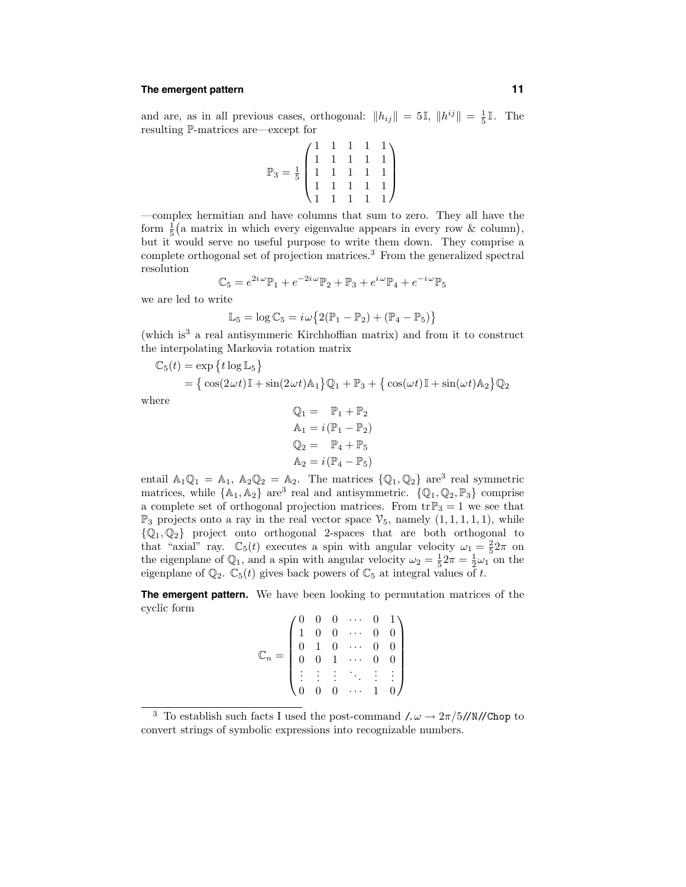#### **The emergent pattern 11**

and are, as in all previous cases, orthogonal:  $||h_{ij}|| = 5I$ ,  $||h^{ij}|| = \frac{1}{5}I$ . The resulting P-matrices are—except for

P<sup>3</sup> = <sup>1</sup> 5 1 1 1 1 1 1 1 1 1 1 1 1 1 1 1 1 1 1 1 1 1 1 1 1 1 

—complex hermitian and have columns that sum to zero. They all have the form  $\frac{1}{5}$ (a matrix in which every eigenvalue appears in every row & column), but it would serve no useful purpose to write them down. They comprise a complete orthogonal set of projection matrices.<sup>3</sup> From the generalized spectral resolution

$$
\mathbb{C}_5 = e^{2i\omega} \mathbb{P}_1 + e^{-2i\omega} \mathbb{P}_2 + \mathbb{P}_3 + e^{i\omega} \mathbb{P}_4 + e^{-i\omega} \mathbb{P}_5
$$

we are led to write

$$
\mathbb{L}_5 = \log \mathbb{C}_5 = i \omega \big\{ 2(\mathbb{P}_1 - \mathbb{P}_2) + (\mathbb{P}_4 - \mathbb{P}_5) \big\}
$$

(which is<sup>3</sup> a real antisymmeric Kirchhoffian matrix) and from it to construct the interpolating Markovia rotation matrix

$$
\mathbb{C}_5(t) = \exp \{ t \log \mathbb{L}_5 \}
$$
  
=  $\{ \cos(2\omega t) \mathbb{I} + \sin(2\omega t) \mathbb{A}_1 \} \mathbb{Q}_1 + \mathbb{P}_3 + \{ \cos(\omega t) \mathbb{I} + \sin(\omega t) \mathbb{A}_2 \} \mathbb{Q}_2$ 

where

$$
Q_1 = P_1 + P_2
$$
  
\n
$$
A_1 = i(P_1 - P_2)
$$
  
\n
$$
Q_2 = P_4 + P_5
$$
  
\n
$$
A_2 = i(P_4 - P_5)
$$

entail  $\mathbb{A}_1 \mathbb{Q}_1 = \mathbb{A}_1$ ,  $\mathbb{A}_2 \mathbb{Q}_2 = \mathbb{A}_2$ . The matrices  $\{\mathbb{Q}_1, \mathbb{Q}_2\}$  are<sup>3</sup> real symmetric matrices, while  $\{A_1, A_2\}$  are<sup>3</sup> real and antisymmetric.  $\{\mathbb{Q}_1, \mathbb{Q}_2, \mathbb{P}_3\}$  comprise a complete set of orthogonal projection matrices. From  $\text{tr}\mathbb{P}_3 = 1$  we see that  $\mathbb{P}_3$  projects onto a ray in the real vector space  $\mathcal{V}_5$ , namely  $(1, 1, 1, 1, 1)$ , while  $\{\mathbb{Q}_1, \mathbb{Q}_2\}$  project onto orthogonal 2-spaces that are both orthogonal to that "axial" ray.  $\mathbb{C}_5(t)$  executes a spin with angular velocity  $\omega_1 = \frac{2}{5}2\pi$  on the eigenplane of  $\mathbb{Q}_1$ , and a spin with angular velocity  $\omega_2 = \frac{1}{5} 2\pi = \frac{1}{2} \omega_1$  on the eigenplane of  $\mathbb{Q}_2$ .  $\mathbb{C}_5(t)$  gives back powers of  $\mathbb{C}_5$  at integral values of t.

**The emergent pattern.** We have been looking to permutation matrices of the cyclic form

$$
\mathbb{C}_n = \begin{pmatrix} 0 & 0 & 0 & \cdots & 0 & 1 \\ 1 & 0 & 0 & \cdots & 0 & 0 \\ 0 & 1 & 0 & \cdots & 0 & 0 \\ 0 & 0 & 1 & \cdots & 0 & 0 \\ \vdots & \vdots & \vdots & \ddots & \vdots & \vdots \\ 0 & 0 & 0 & \cdots & 1 & 0 \end{pmatrix}
$$

<sup>&</sup>lt;sup>3</sup> To establish such facts I used the post-command  $\lambda \omega \rightarrow 2\pi/5/\sqrt{N}}$ /Chop to convert strings of symbolic expressions into recognizable numbers.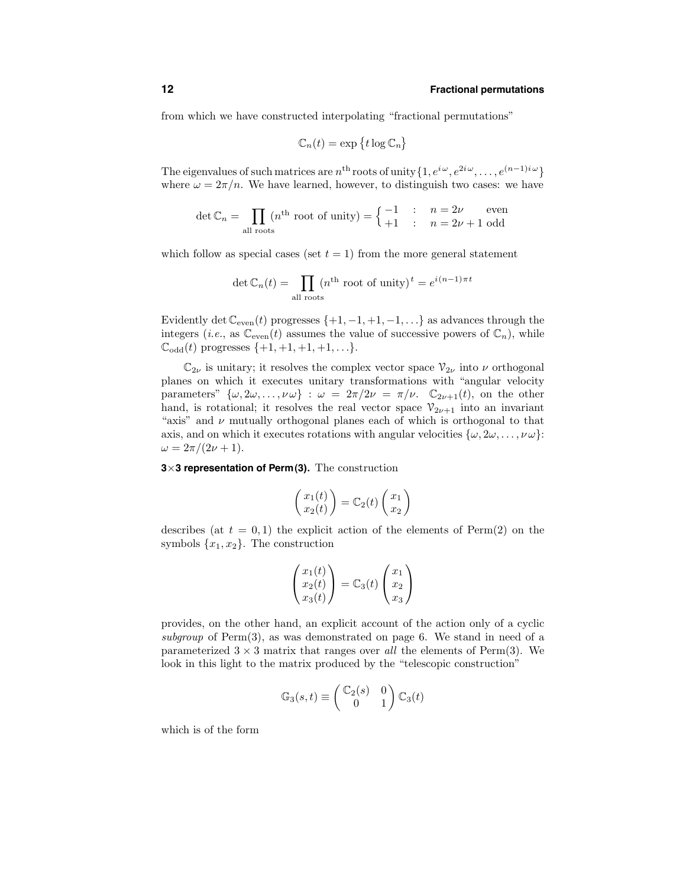from which we have constructed interpolating "fractional permutations"

$$
\mathbb{C}_n(t) = \exp\left\{t \log \mathbb{C}_n\right\}
$$

The eigenvalues of such matrices are  $n^{\text{th}}$  roots of unity  $\{1, e^{i\omega}, e^{2i\omega}, \dots, e^{(n-1)i\omega}\}$ where  $\omega = 2\pi/n$ . We have learned, however, to distinguish two cases: we have

$$
\det \mathbb{C}_n = \prod_{\text{all roots}} (n^{\text{th}} \text{ root of unity}) = \begin{cases} -1 & : n = 2\nu \quad \text{even} \\ +1 & : n = 2\nu + 1 \text{ odd} \end{cases}
$$

which follow as special cases (set  $t = 1$ ) from the more general statement

$$
\det \mathbb{C}_n(t) = \prod_{\text{all roots}} (n^{\text{th}} \text{ root of unity})^t = e^{i(n-1)\pi t}
$$

Evidently det  $\mathbb{C}_{even}(t)$  progresses  $\{+1, -1, +1, -1, \ldots\}$  as advances through the integers (*i.e.*, as  $\mathbb{C}_{even}(t)$  assumes the value of successive powers of  $\mathbb{C}_n$ ), while  $\mathbb{C}_{odd}(t)$  progresses  $\{+1, +1, +1, +1, ...\}$ .

 $\mathbb{C}_{2\nu}$  is unitary; it resolves the complex vector space  $\mathcal{V}_{2\nu}$  into  $\nu$  orthogonal planes on which it executes unitary transformations with "angular velocity parameters"  $\{\omega, 2\omega, \ldots, \nu\omega\}$ :  $\omega = 2\pi/2\nu = \pi/\nu$ .  $\mathbb{C}_{2\nu+1}(t)$ , on the other hand, is rotational; it resolves the real vector space  $\mathcal{V}_{2\nu+1}$  into an invariant "axis" and  $\nu$  mutually orthogonal planes each of which is orthogonal to that axis, and on which it executes rotations with angular velocities  $\{\omega, 2\omega, \ldots, \nu\omega\}$ :  $\omega = 2\pi/(2\nu + 1).$ 

**<sup>3</sup>**×**<sup>3</sup> representation of Perm(3).** The construction

$$
\begin{pmatrix} x_1(t) \\ x_2(t) \end{pmatrix} = \mathbb{C}_2(t) \begin{pmatrix} x_1 \\ x_2 \end{pmatrix}
$$

describes (at  $t = 0, 1$ ) the explicit action of the elements of Perm $(2)$  on the symbols  $\{x_1, x_2\}$ . The construction

$$
\begin{pmatrix} x_1(t) \\ x_2(t) \\ x_3(t) \end{pmatrix} = \mathbb{C}_3(t) \begin{pmatrix} x_1 \\ x_2 \\ x_3 \end{pmatrix}
$$

provides, on the other hand, an explicit account of the action only of a cyclic subgroup of Perm(3), as was demonstrated on page 6. We stand in need of a parameterized  $3 \times 3$  matrix that ranges over all the elements of Perm $(3)$ . We look in this light to the matrix produced by the "telescopic construction"

$$
\mathbb{G}_3(s,t) \equiv \begin{pmatrix} \mathbb{C}_2(s) & 0 \\ 0 & 1 \end{pmatrix} \mathbb{C}_3(t)
$$

which is of the form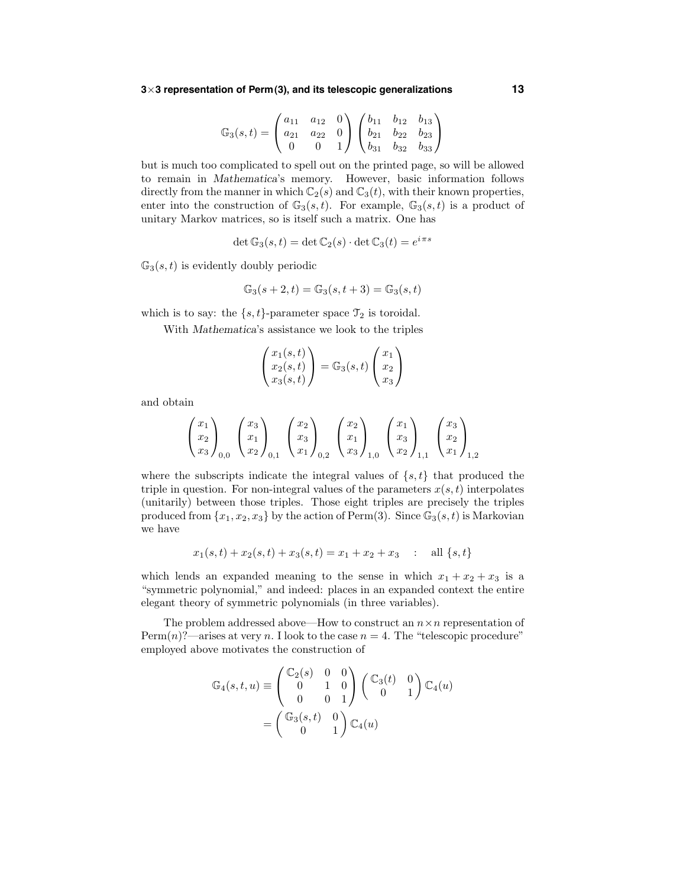#### **<sup>3</sup>**×**<sup>3</sup> representation of Perm(3), and its telescopic generalizations 13**

$$
\mathbb{G}_3(s,t) = \begin{pmatrix} a_{11} & a_{12} & 0 \\ a_{21} & a_{22} & 0 \\ 0 & 0 & 1 \end{pmatrix} \begin{pmatrix} b_{11} & b_{12} & b_{13} \\ b_{21} & b_{22} & b_{23} \\ b_{31} & b_{32} & b_{33} \end{pmatrix}
$$

but is much too complicated to spell out on the printed page, so will be allowed to remain in Mathematica's memory. However, basic information follows directly from the manner in which  $\mathbb{C}_2(s)$  and  $\mathbb{C}_3(t)$ , with their known properties, enter into the construction of  $\mathbb{G}_3(s,t)$ . For example,  $\mathbb{G}_3(s,t)$  is a product of unitary Markov matrices, so is itself such a matrix. One has

$$
\det \mathbb{G}_3(s, t) = \det \mathbb{C}_2(s) \cdot \det \mathbb{C}_3(t) = e^{i\pi s}
$$

 $\mathbb{G}_3(s,t)$  is evidently doubly periodic

$$
\mathbb{G}_3(s+2,t) = \mathbb{G}_3(s,t+3) = \mathbb{G}_3(s,t)
$$

which is to say: the  $\{s,t\}$ -parameter space  $\mathcal{T}_2$  is toroidal.

With Mathematica's assistance we look to the triples

$$
\begin{pmatrix} x_1(s,t) \\ x_2(s,t) \\ x_3(s,t) \end{pmatrix} = \mathbb{G}_3(s,t) \begin{pmatrix} x_1 \\ x_2 \\ x_3 \end{pmatrix}
$$

and obtain

$$
\begin{pmatrix} x_1 \\ x_2 \\ x_3 \end{pmatrix}_{0,0} \begin{pmatrix} x_3 \\ x_1 \\ x_2 \end{pmatrix}_{0,1} \begin{pmatrix} x_2 \\ x_3 \\ x_1 \end{pmatrix}_{0,2} \begin{pmatrix} x_2 \\ x_1 \\ x_3 \end{pmatrix}_{1,0} \begin{pmatrix} x_1 \\ x_3 \\ x_2 \end{pmatrix}_{1,1} \begin{pmatrix} x_3 \\ x_2 \\ x_1 \end{pmatrix}_{1,2}
$$

where the subscripts indicate the integral values of  $\{s,t\}$  that produced the triple in question. For non-integral values of the parameters  $x(s,t)$  interpolates (unitarily) between those triples. Those eight triples are precisely the triples produced from  $\{x_1, x_2, x_3\}$  by the action of Perm(3). Since  $\mathbb{G}_3(s, t)$  is Markovian we have

$$
x_1(s,t) + x_2(s,t) + x_3(s,t) = x_1 + x_2 + x_3
$$
 : all  $\{s,t\}$ 

which lends an expanded meaning to the sense in which  $x_1 + x_2 + x_3$  is a "symmetric polynomial," and indeed: places in an expanded context the entire elegant theory of symmetric polynomials (in three variables).

The problem addressed above—How to construct an  $n \times n$  representation of Perm $(n)$ ?—arises at very n. I look to the case  $n = 4$ . The "telescopic procedure" employed above motivates the construction of

$$
\mathbb{G}_4(s,t,u) \equiv \begin{pmatrix} \mathbb{C}_2(s) & 0 & 0 \\ 0 & 1 & 0 \\ 0 & 0 & 1 \end{pmatrix} \begin{pmatrix} \mathbb{C}_3(t) & 0 \\ 0 & 1 \end{pmatrix} \mathbb{C}_4(u)
$$

$$
= \begin{pmatrix} \mathbb{G}_3(s,t) & 0 \\ 0 & 1 \end{pmatrix} \mathbb{C}_4(u)
$$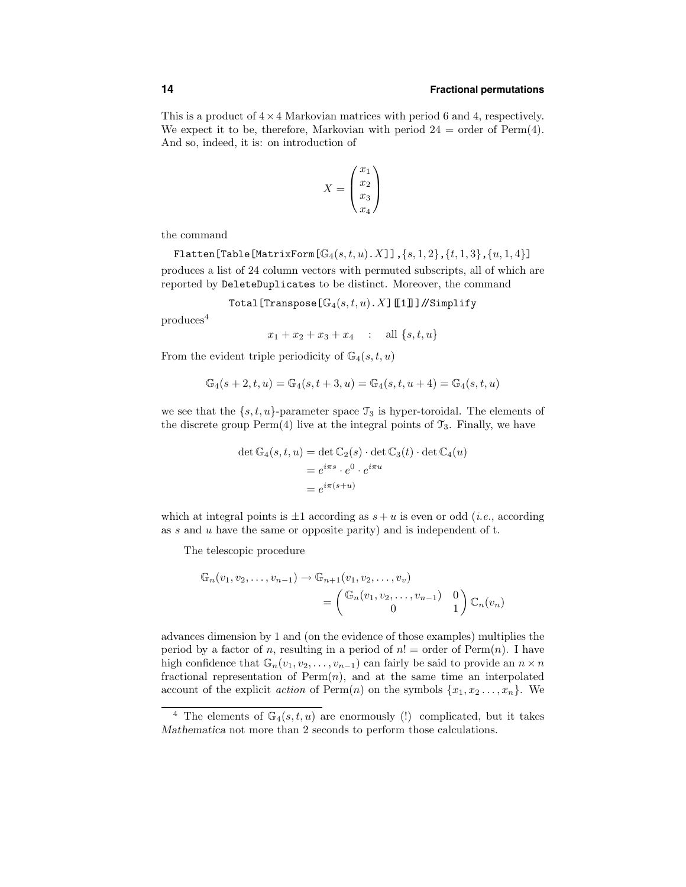This is a product of  $4 \times 4$  Markovian matrices with period 6 and 4, respectively. We expect it to be, therefore, Markovian with period  $24 = \text{order of } \text{Perm}(4)$ . And so, indeed, it is: on introduction of

$$
X = \begin{pmatrix} x_1 \\ x_2 \\ x_3 \\ x_4 \end{pmatrix}
$$

the command

Flatten[Table[MatrixForm[ $\mathbb{G}_4(s,t,u)$ .X]], $\{s, 1, 2\}$ , $\{t, 1, 3\}$ , $\{u, 1, 4\}$ ]

produces a list of 24 column vectors with permuted subscripts, all of which are reported by DeleteDuplicates to be distinct. Moreover, the command

Total [Transpose  $[\mathbb{G}_4(s,t,u) \cdot X]$  [[1]] //Simplify

produces<sup>4</sup>

$$
x_1 + x_2 + x_3 + x_4
$$
 : all  $\{s, t, u\}$ 

From the evident triple periodicity of  $\mathbb{G}_4(s,t,u)$ 

$$
\mathbb{G}_4(s+2,t,u) = \mathbb{G}_4(s,t+3,u) = \mathbb{G}_4(s,t,u+4) = \mathbb{G}_4(s,t,u)
$$

we see that the  $\{s,t,u\}$ -parameter space  $\mathcal{T}_3$  is hyper-toroidal. The elements of the discrete group  $Perm(4)$  live at the integral points of  $\mathcal{T}_3$ . Finally, we have

$$
\det \mathbb{G}_4(s, t, u) = \det \mathbb{C}_2(s) \cdot \det \mathbb{C}_3(t) \cdot \det \mathbb{C}_4(u)
$$

$$
= e^{i\pi s} \cdot e^0 \cdot e^{i\pi u}
$$

$$
= e^{i\pi(s+u)}
$$

which at integral points is  $\pm 1$  according as  $s + u$  is even or odd (*i.e.*, according as  $s$  and  $u$  have the same or opposite parity) and is independent of  $t$ .

The telescopic procedure

$$
\mathbb{G}_n(v_1, v_2, \dots, v_{n-1}) \to \mathbb{G}_{n+1}(v_1, v_2, \dots, v_v)
$$
  
= 
$$
\begin{pmatrix} \mathbb{G}_n(v_1, v_2, \dots, v_{n-1}) & 0 \\ 0 & 1 \end{pmatrix} \mathbb{C}_n(v_n)
$$

advances dimension by 1 and (on the evidence of those examples) multiplies the period by a factor of n, resulting in a period of  $n!$  = order of Perm $(n)$ . I have high confidence that  $\mathbb{G}_n(v_1, v_2, \ldots, v_{n-1})$  can fairly be said to provide an  $n \times n$ fractional representation of  $\text{Perm}(n)$ , and at the same time an interpolated account of the explicit *action* of Perm $(n)$  on the symbols  $\{x_1, x_2, \ldots, x_n\}$ . We

<sup>&</sup>lt;sup>4</sup> The elements of  $\mathbb{G}_4(s,t,u)$  are enormously (!) complicated, but it takes Mathematica not more than 2 seconds to perform those calculations.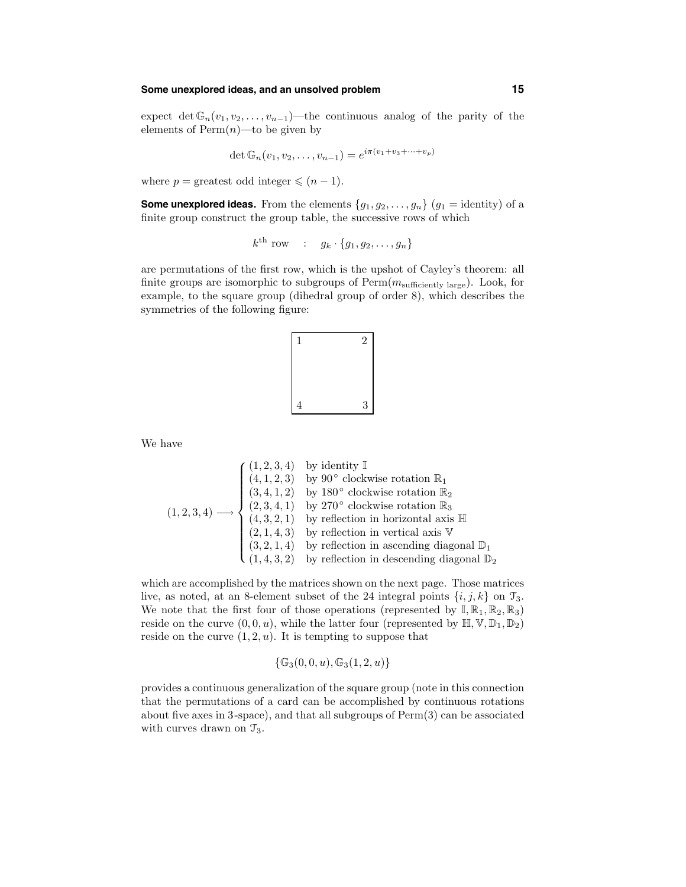## **Some unexplored ideas, and an unsolved problem 15**

expect det  $\mathbb{G}_n(v_1, v_2, \ldots, v_{n-1})$ —the continuous analog of the parity of the elements of  $\text{Perm}(n)$ —to be given by

$$
\det \mathbb{G}_n(v_1, v_2, \dots, v_{n-1}) = e^{i\pi(v_1 + v_3 + \dots + v_p)}
$$

where  $p =$  greatest odd integer  $\leq (n - 1)$ .

**Some unexplored ideas.** From the elements  $\{g_1, g_2, \ldots, g_n\}$   $(g_1 = \text{identity})$  of a finite group construct the group table, the successive rows of which

$$
k^{\text{th}} \text{ row} \quad : \quad g_k \cdot \{g_1, g_2, \dots, g_n\}
$$

are permutations of the first row, which is the upshot of Cayley's theorem: all finite groups are isomorphic to subgroups of  $\text{Perm}(m_{\text{suffixing length}})$ . Look, for example, to the square group (dihedral group of order 8), which describes the symmetries of the following figure:



We have

$$
(1,2,3,4) \longrightarrow \begin{cases} (1,2,3,4) & \text{by identity } \mathbb{I} \\ (4,1,2,3) & \text{by } 90^{\circ} \text{ clockwise rotation } \mathbb{R}_1 \\ (3,4,1,2) & \text{by } 180^{\circ} \text{ clockwise rotation } \mathbb{R}_2 \\ (2,3,4,1) & \text{by } 270^{\circ} \text{ clockwise rotation } \mathbb{R}_3 \\ (4,3,2,1) & \text{by reflection in horizontal axis } \mathbb{H} \\ (2,1,4,3) & \text{by reflection in vertical axis } \mathbb{V} \\ (3,2,1,4) & \text{by reflection in ascending diagonal } \mathbb{D}_1 \\ (1,4,3,2) & \text{by reflection in descending diagonal } \mathbb{D}_2 \end{cases}
$$

which are accomplished by the matrices shown on the next page. Those matrices live, as noted, at an 8-element subset of the 24 integral points  $\{i, j, k\}$  on  $\mathcal{T}_3$ . We note that the first four of those operations (represented by  $\mathbb{I}, \mathbb{R}_1, \mathbb{R}_2, \mathbb{R}_3$ ) reside on the curve  $(0, 0, u)$ , while the latter four (represented by  $\mathbb{H}, \mathbb{V}, \mathbb{D}_1, \mathbb{D}_2$ ) reside on the curve  $(1, 2, u)$ . It is tempting to suppose that

$$
\{\mathbb{G}_3(0,0,u), \mathbb{G}_3(1,2,u)\}\
$$

provides a continuous generalization of the square group (note in this connection that the permutations of a card can be accomplished by continuous rotations about five axes in 3-space), and that all subgroups of Perm(3) can be associated with curves drawn on  $\mathcal{T}_3$ .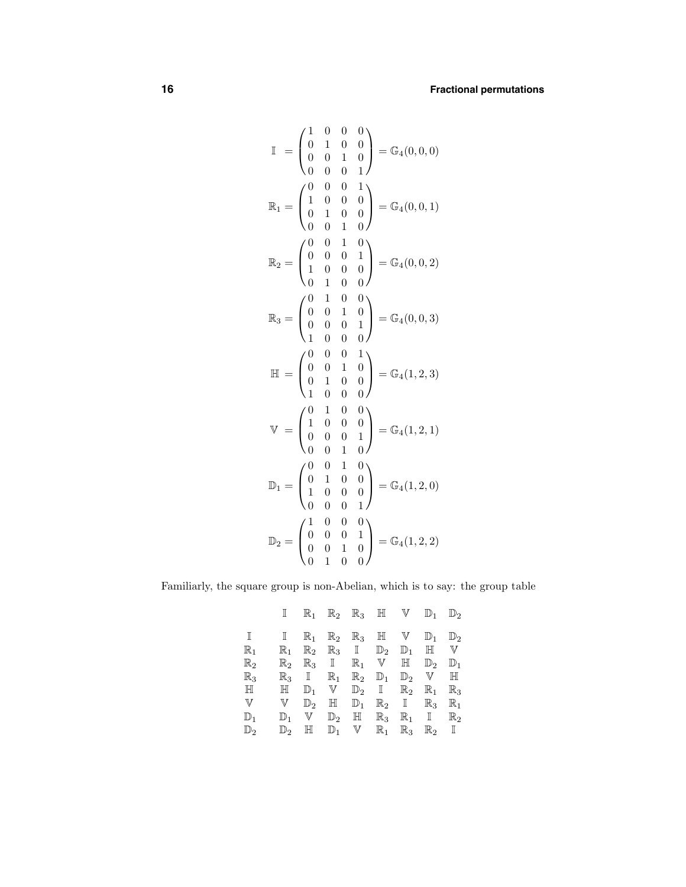$$
\mathbb{I} = \begin{pmatrix} 1 & 0 & 0 & 0 \\ 0 & 1 & 0 & 0 \\ 0 & 0 & 1 & 0 \\ 0 & 0 & 0 & 1 \end{pmatrix} = \mathbb{G}_4(0,0,0)
$$
  
\n
$$
\mathbb{R}_1 = \begin{pmatrix} 0 & 0 & 0 & 1 \\ 1 & 0 & 0 & 0 \\ 0 & 1 & 0 & 0 \\ 0 & 0 & 1 & 0 \end{pmatrix} = \mathbb{G}_4(0,0,1)
$$
  
\n
$$
\mathbb{R}_2 = \begin{pmatrix} 0 & 0 & 1 & 0 \\ 0 & 0 & 0 & 1 \\ 1 & 0 & 0 & 0 \\ 0 & 1 & 0 & 0 \end{pmatrix} = \mathbb{G}_4(0,0,2)
$$
  
\n
$$
\mathbb{R}_3 = \begin{pmatrix} 0 & 1 & 0 & 0 \\ 0 & 0 & 1 & 0 \\ 0 & 0 & 0 & 1 \\ 1 & 0 & 0 & 0 \end{pmatrix} = \mathbb{G}_4(0,0,3)
$$
  
\n
$$
\mathbb{H} = \begin{pmatrix} 0 & 0 & 0 & 1 \\ 0 & 0 & 1 & 0 \\ 0 & 1 & 0 & 0 \\ 0 & 0 & 0 & 1 \end{pmatrix} = \mathbb{G}_4(1,2,3)
$$
  
\n
$$
\mathbb{D}_1 = \begin{pmatrix} 0 & 1 & 0 & 0 \\ 1 & 0 & 0 & 0 \\ 1 & 0 & 0 & 0 \\ 1 & 0 & 0 & 0 \end{pmatrix} = \mathbb{G}_4(1,2,1)
$$
  
\n
$$
\mathbb{D}_2 = \begin{pmatrix} 1 & 0 & 0 & 0 \\ 0 & 1 & 0 & 0 \\ 0 & 0 & 1 & 0 \\ 0 & 0 & 1 & 0 \end{pmatrix} = \mathbb{G}_4(1,2,2)
$$

Familiarly, the square group is non-Abelian, which is to say: the group table

|                |                |                  | $\mathbb{R}_1$ $\mathbb{R}_2$ $\mathbb{R}_3$ H |                  |                  | $\mathbb {V}$  | $\mathbb{D}_1$ | $\mathbb{D}_2$ |
|----------------|----------------|------------------|------------------------------------------------|------------------|------------------|----------------|----------------|----------------|
| $\mathbb{I}$   | $\mathbb{I}$   | $\mathbb{R}_1$   | $\mathbb{R}_2$                                 | $\mathbb{R}_3$   | $\mathbb H$      | $\mathbb {V}$  | $\mathbb{D}_1$ | $\mathbb{D}_2$ |
| $\mathbb{R}_1$ | $\mathbb{R}_1$ | $\mathbb{R}_2$   |                                                | $\mathbb{R}_3$ I | $\mathbb{D}_2$   | $\mathbb{D}_1$ | $_{\rm{H}}$    | $\mathbb {V}$  |
| $\mathbb{R}_2$ | $\mathbb{R}_2$ |                  | $\mathbb{R}_3$ I                               |                  | $\mathbb{R}_1$ V | $\mathbb H$    | $\mathbb{D}_2$ | $\mathbb{D}_1$ |
| $\mathbb{R}_3$ |                | $\mathbb{R}_3$ I | $\mathbb{R}_1$                                 | $\mathbb{R}_2$   | $\mathbb{D}_1$   | $\mathbb{D}_2$ | $\mathbb V$    | $\mathbb H$    |
| H              | $_{\rm HI}$    | $\mathbb{D}_1$   | $\mathbb {V}$                                  | $\mathbb{D}_2$   | $\mathbb I$      | $\mathbb{R}_2$ | $\mathbb{R}_1$ | $\mathbb{R}_3$ |
| $\mathbb {V}$  | V              | $\mathbb{D}_2$   | $\mathbb H$                                    | $\mathbb{D}_1$   | $\mathbb{R}_2$   | $\mathbb I$    | $\mathbb{R}_3$ | $\mathbb{R}_1$ |
| $\mathbb{D}_1$ | $\mathbb{D}_1$ | V                | $\mathbb{D}_2$                                 | H                | $\mathbb{R}_3$   | $\mathbb{R}_1$ | $\mathbbm{I}$  | $\mathbb{R}_2$ |
| D,             | $\mathbb{D}_2$ | $\mathbb H$      | $\mathbb{D}_1$                                 | $\mathbb V$      | $\mathbb{R}_1$   | $\mathbb{R}_3$ | $\mathbb{R}_2$ | I              |
|                |                |                  |                                                |                  |                  |                |                |                |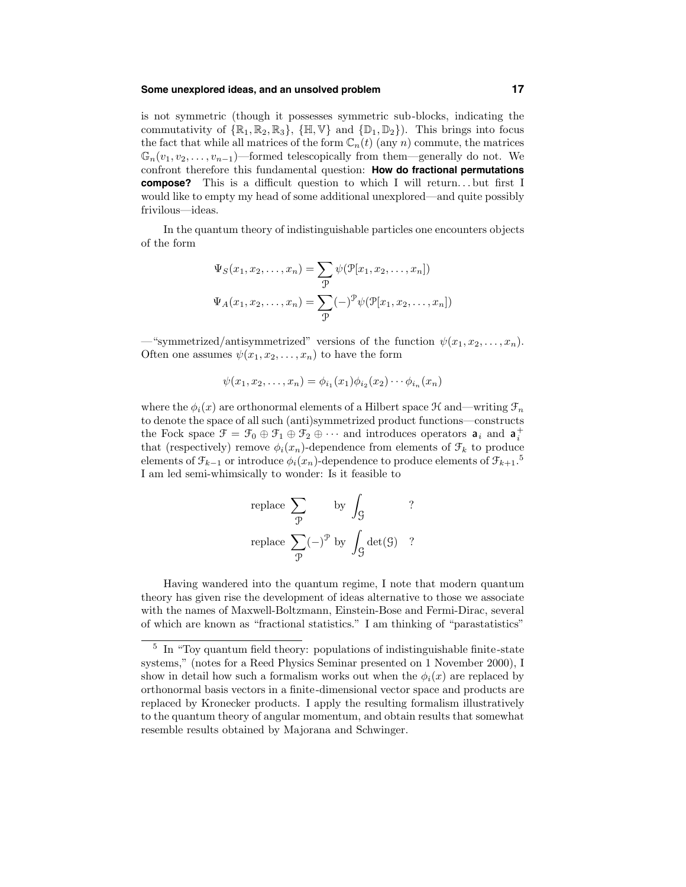#### **Some unexplored ideas, and an unsolved problem 17**

is not symmetric (though it possesses symmetric sub-blocks, indicating the commutativity of  $\{\mathbb{R}_1, \mathbb{R}_2, \mathbb{R}_3\}$ ,  $\{\mathbb{H}, \mathbb{V}\}\$  and  $\{\mathbb{D}_1, \mathbb{D}_2\}$ ). This brings into focus the fact that while all matrices of the form  $\mathbb{C}_n(t)$  (any n) commute, the matrices  $\mathbb{G}_n(v_1, v_2, \ldots, v_{n-1})$ —formed telescopically from them—generally do not. We confront therefore this fundamental question: **How do fractional permutations compose?** This is a difficult question to which I will return...but first I would like to empty my head of some additional unexplored—and quite possibly frivilous—ideas.

In the quantum theory of indistinguishable particles one encounters objects of the form

$$
\Psi_S(x_1, x_2, \dots, x_n) = \sum_{\mathcal{P}} \psi(\mathcal{P}[x_1, x_2, \dots, x_n])
$$

$$
\Psi_A(x_1, x_2, \dots, x_n) = \sum_{\mathcal{P}} (-)^{\mathcal{P}} \psi(\mathcal{P}[x_1, x_2, \dots, x_n])
$$

—"symmetrized/antisymmetrized" versions of the function  $\psi(x_1, x_2, \ldots, x_n)$ . Often one assumes  $\psi(x_1, x_2, \ldots, x_n)$  to have the form

$$
\psi(x_1, x_2, \dots, x_n) = \phi_{i_1}(x_1) \phi_{i_2}(x_2) \cdots \phi_{i_n}(x_n)
$$

where the  $\phi_i(x)$  are orthonormal elements of a Hilbert space  $\mathcal H$  and—writing  $\mathcal F_n$ to denote the space of all such (anti)symmetrized product functions—constructs the Fock space  $\mathcal{F} = \mathcal{F}_0 \oplus \mathcal{F}_1 \oplus \mathcal{F}_2 \oplus \cdots$  and introduces operators  $a_i$  and  $a_i^+$ that (respectively) remove  $\phi_i(x_n)$ -dependence from elements of  $\mathcal{F}_k$  to produce elements of  $\mathfrak{F}_{k-1}$  or introduce  $\phi_i(x_n)$ -dependence to produce elements of  $\mathfrak{F}_{k+1}$ .<sup>5</sup> I am led semi-whimsically to wonder: Is it feasible to

replace 
$$
\sum_{\mathcal{P}}
$$
 by  $\int_{\mathcal{G}}$  ?  
replace  $\sum_{\mathcal{P}} (-)^{\mathcal{P}}$  by  $\int_{\mathcal{G}} det(\mathcal{G})$  ?

Having wandered into the quantum regime, I note that modern quantum theory has given rise the development of ideas alternative to those we associate with the names of Maxwell-Boltzmann, Einstein-Bose and Fermi-Dirac, several of which are known as "fractional statistics." I am thinking of "parastatistics"

<sup>5</sup> In "Toy quantum field theory: populations of indistinguishable finite-state systems," (notes for a Reed Physics Seminar presented on 1 November 2000), I show in detail how such a formalism works out when the  $\phi_i(x)$  are replaced by orthonormal basis vectors in a finite-dimensional vector space and products are replaced by Kronecker products. I apply the resulting formalism illustratively to the quantum theory of angular momentum, and obtain results that somewhat resemble results obtained by Majorana and Schwinger.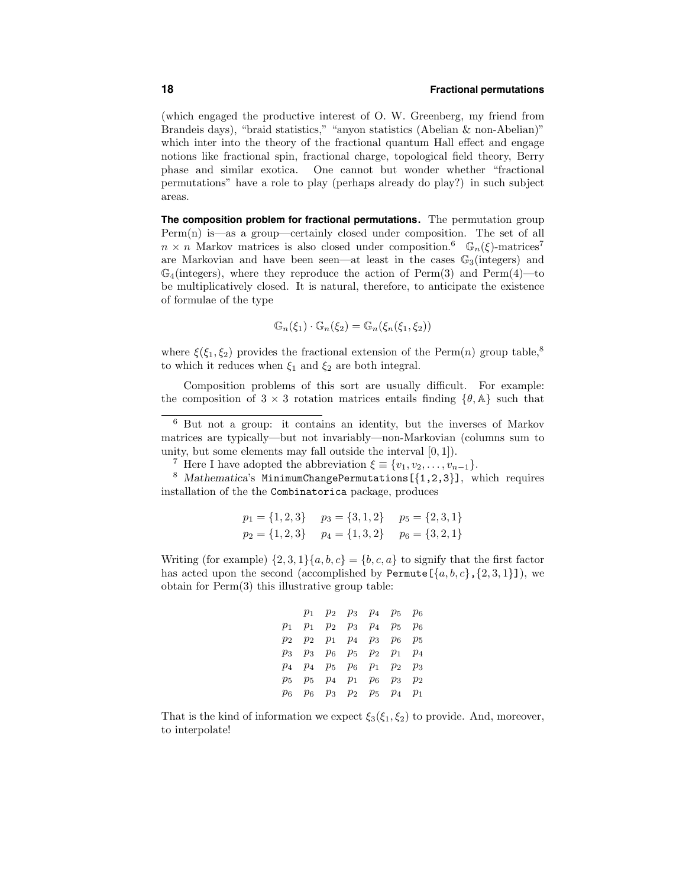(which engaged the productive interest of O. W. Greenberg, my friend from Brandeis days), "braid statistics," "anyon statistics (Abelian & non-Abelian)" which inter into the theory of the fractional quantum Hall effect and engage notions like fractional spin, fractional charge, topological field theory, Berry phase and similar exotica. One cannot but wonder whether "fractional permutations" have a role to play (perhaps already do play?) in such subject areas.

**The composition problem for fractional permutations.** The permutation group Perm(n) is—as a group—certainly closed under composition. The set of all  $n \times n$  Markov matrices is also closed under composition.<sup>6</sup>  $\mathbb{G}_n(\xi)$ -matrices<sup>7</sup> are Markovian and have been seen—at least in the cases  $\mathbb{G}_3$ (integers) and  $\mathbb{G}_4$ (integers), where they reproduce the action of Perm $(3)$  and Perm $(4)$ —to be multiplicatively closed. It is natural, therefore, to anticipate the existence of formulae of the type

$$
\mathbb{G}_n(\xi_1) \cdot \mathbb{G}_n(\xi_2) = \mathbb{G}_n(\xi_n(\xi_1, \xi_2))
$$

where  $\xi(\xi_1, \xi_2)$  provides the fractional extension of the Perm $(n)$  group table,<sup>8</sup> to which it reduces when  $\xi_1$  and  $\xi_2$  are both integral.

Composition problems of this sort are usually difficult. For example: the composition of  $3 \times 3$  rotation matrices entails finding  $\{\theta, \mathbb{A}\}\$  such that

<sup>7</sup> Here I have adopted the abbreviation  $\xi = \{v_1, v_2, \ldots, v_{n-1}\}.$ <br><sup>8</sup> Mathematica's MinimumChangePermutations[{1,2,3}], which requires installation of the the Combinatorica package, produces

$$
p_1 = \{1, 2, 3\}
$$
  $p_3 = \{3, 1, 2\}$   $p_5 = \{2, 3, 1\}$   
 $p_2 = \{1, 2, 3\}$   $p_4 = \{1, 3, 2\}$   $p_6 = \{3, 2, 1\}$ 

Writing (for example)  $\{2,3,1\}\{a,b,c\} = \{b,c,a\}$  to signify that the first factor has acted upon the second (accomplished by Permute  $[\{a, b, c\}, \{2, 3, 1\}]$ ), we obtain for Perm(3) this illustrative group table:

|                                           | $p_1$ $p_2$ $p_3$ $p_4$ $p_5$ $p_6$ |  |  |
|-------------------------------------------|-------------------------------------|--|--|
|                                           | $p_1$ $p_2$ $p_3$ $p_4$ $p_5$ $p_6$ |  |  |
| $p_2$ $p_2$ $p_1$ $p_4$ $p_3$ $p_6$ $p_5$ |                                     |  |  |
| $p_3$ $p_3$ $p_6$ $p_5$ $p_2$ $p_1$ $p_4$ |                                     |  |  |
| $p_4$ $p_4$ $p_5$ $p_6$ $p_1$ $p_2$ $p_3$ |                                     |  |  |
| $p_5$ $p_5$ $p_4$ $p_1$ $p_6$ $p_3$ $p_2$ |                                     |  |  |
|                                           | $p_6$ $p_3$ $p_2$ $p_5$ $p_4$ $p_1$ |  |  |

That is the kind of information we expect  $\xi_3(\xi_1, \xi_2)$  to provide. And, moreover, to interpolate!

<sup>6</sup> But not a group: it contains an identity, but the inverses of Markov matrices are typically—but not invariably—non-Markovian (columns sum to unity, but some elements may fall outside the interval  $[0, 1]$ .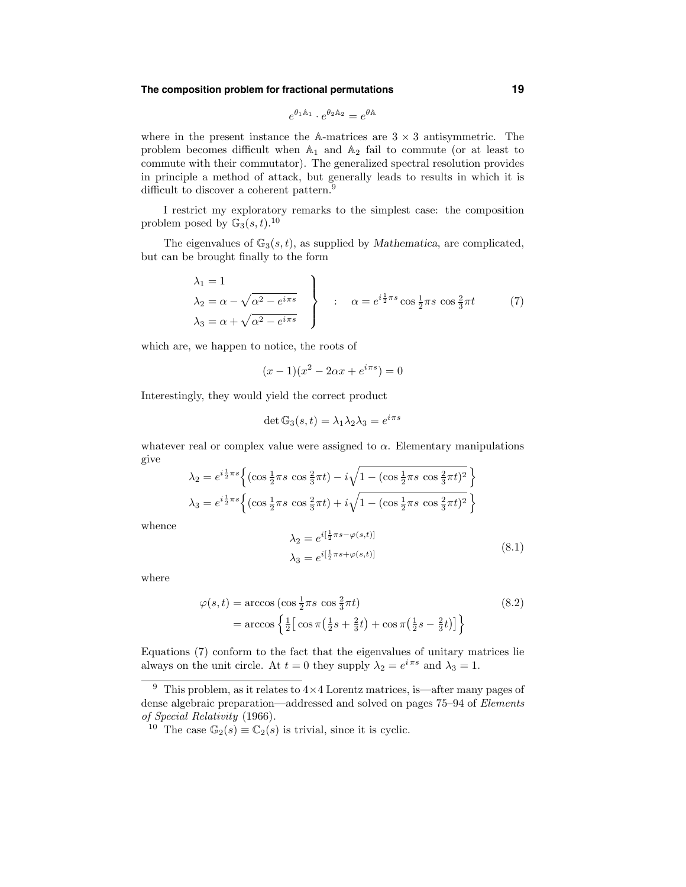## **The composition problem for fractional permutations 19**

$$
e^{\theta_1 \mathbb{A}_1} \cdot e^{\theta_2 \mathbb{A}_2} = e^{\theta \mathbb{A}}
$$

where in the present instance the A-matrices are  $3 \times 3$  antisymmetric. The problem becomes difficult when  $A_1$  and  $A_2$  fail to commute (or at least to commute with their commutator). The generalized spectral resolution provides in principle a method of attack, but generally leads to results in which it is difficult to discover a coherent pattern.<sup>9</sup>

I restrict my exploratory remarks to the simplest case: the composition problem posed by  $\mathbb{G}_3(s,t).^{10}$ 

The eigenvalues of  $\mathbb{G}_3(s,t)$ , as supplied by *Mathematica*, are complicated, but can be brought finally to the form

$$
\lambda_1 = 1
$$
\n
$$
\lambda_2 = \alpha - \sqrt{\alpha^2 - e^{i\pi s}}
$$
\n
$$
\lambda_3 = \alpha + \sqrt{\alpha^2 - e^{i\pi s}}
$$
\n
$$
\lambda_4 = e^{i\frac{1}{2}\pi s} \cos \frac{1}{2}\pi s \cos \frac{2}{3}\pi t
$$
\n(7)

which are, we happen to notice, the roots of

$$
(x-1)(x^2 - 2\alpha x + e^{i\pi s}) = 0
$$

Interestingly, they would yield the correct product

$$
\det \mathbb{G}_3(s, t) = \lambda_1 \lambda_2 \lambda_3 = e^{i \pi s}
$$

whatever real or complex value were assigned to  $\alpha$ . Elementary manipulations give

$$
\lambda_2 = e^{i\frac{1}{2}\pi s} \left\{ (\cos \frac{1}{2}\pi s \cos \frac{2}{3}\pi t) - i\sqrt{1 - (\cos \frac{1}{2}\pi s \cos \frac{2}{3}\pi t)^2} \right\}
$$
  

$$
\lambda_3 = e^{i\frac{1}{2}\pi s} \left\{ (\cos \frac{1}{2}\pi s \cos \frac{2}{3}\pi t) + i\sqrt{1 - (\cos \frac{1}{2}\pi s \cos \frac{2}{3}\pi t)^2} \right\}
$$

whence

$$
\lambda_2 = e^{i\left[\frac{1}{2}\pi s - \varphi(s,t)\right]}
$$
  
\n
$$
\lambda_3 = e^{i\left[\frac{1}{2}\pi s + \varphi(s,t)\right]}
$$
\n(8.1)

where

$$
\varphi(s,t) = \arccos\left(\cos\frac{1}{2}\pi s\,\cos\frac{2}{3}\pi t\right) \n= \arccos\left\{\frac{1}{2}\left[\cos\pi\left(\frac{1}{2}s + \frac{2}{3}t\right) + \cos\pi\left(\frac{1}{2}s - \frac{2}{3}t\right)\right]\right\}
$$
\n(8.2)

Equations (7) conform to the fact that the eigenvalues of unitary matrices lie always on the unit circle. At  $t = 0$  they supply  $\lambda_2 = e^{i \pi s}$  and  $\lambda_3 = 1$ .

<sup>&</sup>lt;sup>9</sup> This problem, as it relates to  $4 \times 4$  Lorentz matrices, is—after many pages of dense algebraic preparation—addressed and solved on pages 75–94 of Elements of Special Relativity (1966).

<sup>&</sup>lt;sup>10</sup> The case  $\mathbb{G}_2(s) \equiv \mathbb{C}_2(s)$  is trivial, since it is cyclic.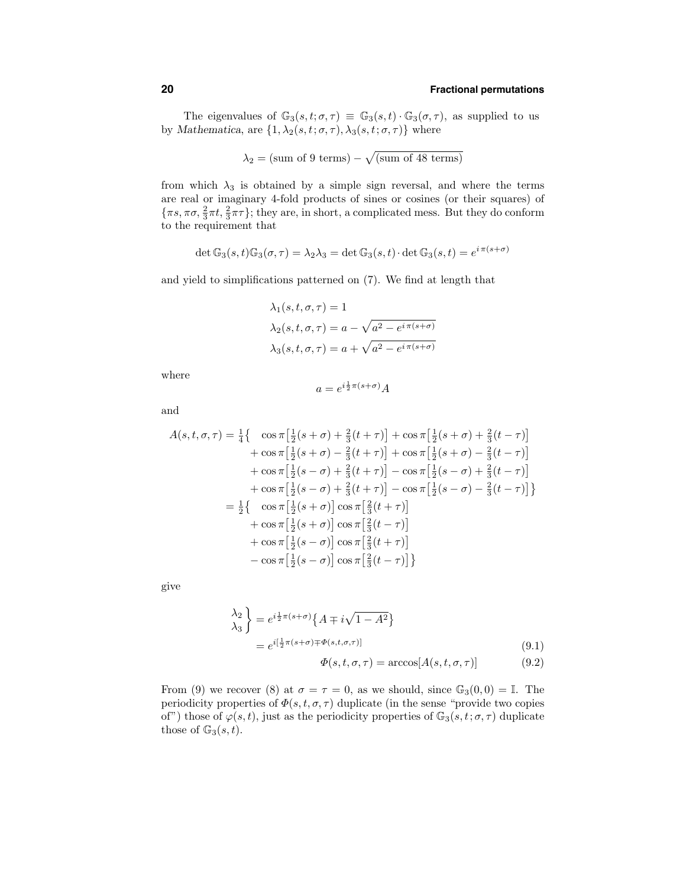The eigenvalues of  $\mathbb{G}_3(s,t;\sigma,\tau) \equiv \mathbb{G}_3(s,t) \cdot \mathbb{G}_3(\sigma,\tau)$ , as supplied to us by Mathematica, are  $\{1, \lambda_2(s,t;\sigma,\tau), \lambda_3(s,t;\sigma,\tau)\}$  where

$$
\lambda_2 = (sum of 9 terms) - \sqrt{(sum of 48 terms)}
$$

from which  $\lambda_3$  is obtained by a simple sign reversal, and where the terms are real or imaginary 4-fold products of sines or cosines (or their squares) of  $\{\pi s, \pi\sigma, \frac{2}{3}\pi t, \frac{2}{3}\pi\tau\}$ ; they are, in short, a complicated mess. But they do conform to the requirement that

$$
\det \mathbb{G}_3(s, t)\mathbb{G}_3(\sigma, \tau) = \lambda_2 \lambda_3 = \det \mathbb{G}_3(s, t) \cdot \det \mathbb{G}_3(s, t) = e^{i \pi (s + \sigma)}
$$

and yield to simplifications patterned on (7). We find at length that

$$
\lambda_1(s, t, \sigma, \tau) = 1
$$
  

$$
\lambda_2(s, t, \sigma, \tau) = a - \sqrt{a^2 - e^{i\pi(s+\sigma)}}
$$
  

$$
\lambda_3(s, t, \sigma, \tau) = a + \sqrt{a^2 - e^{i\pi(s+\sigma)}}
$$

where

$$
a = e^{i\frac{1}{2}\pi(s+\sigma)}A
$$

and

$$
A(s, t, \sigma, \tau) = \frac{1}{4} \left\{ \begin{array}{l} \cos \pi \left[ \frac{1}{2} (s + \sigma) + \frac{2}{3} (t + \tau) \right] + \cos \pi \left[ \frac{1}{2} (s + \sigma) + \frac{2}{3} (t - \tau) \right] \\ + \cos \pi \left[ \frac{1}{2} (s + \sigma) - \frac{2}{3} (t + \tau) \right] + \cos \pi \left[ \frac{1}{2} (s + \sigma) - \frac{2}{3} (t - \tau) \right] \\ + \cos \pi \left[ \frac{1}{2} (s - \sigma) + \frac{2}{3} (t + \tau) \right] - \cos \pi \left[ \frac{1}{2} (s - \sigma) + \frac{2}{3} (t - \tau) \right] \\ + \cos \pi \left[ \frac{1}{2} (s - \sigma) + \frac{2}{3} (t + \tau) \right] - \cos \pi \left[ \frac{1}{2} (s - \sigma) - \frac{2}{3} (t - \tau) \right] \right\} \\ = \frac{1}{2} \left\{ \begin{array}{l} \cos \pi \left[ \frac{1}{2} (s + \sigma) \right] \cos \pi \left[ \frac{2}{3} (t + \tau) \right] \\ + \cos \pi \left[ \frac{1}{2} (s + \sigma) \right] \cos \pi \left[ \frac{2}{3} (t - \tau) \right] \\ + \cos \pi \left[ \frac{1}{2} (s - \sigma) \right] \cos \pi \left[ \frac{2}{3} (t + \tau) \right] \\ - \cos \pi \left[ \frac{1}{2} (s - \sigma) \right] \cos \pi \left[ \frac{2}{3} (t - \tau) \right] \end{array} \right\}
$$

give

$$
\begin{aligned}\n\lambda_2 \\
\lambda_3\n\end{aligned}\n\bigg\} = e^{i\frac{1}{2}\pi(s+\sigma)} \{A \mp i\sqrt{1-A^2}\} \\
= e^{i\left[\frac{1}{2}\pi(s+\sigma) \mp \Phi(s,t,\sigma,\tau)\right]} \tag{9.1}
$$

$$
\Phi(s, t, \sigma, \tau) = \arccos[A(s, t, \sigma, \tau)] \tag{9.2}
$$

From (9) we recover (8) at  $\sigma = \tau = 0$ , as we should, since  $\mathbb{G}_3(0,0) = \mathbb{I}$ . The periodicity properties of  $\Phi(s,t,\sigma,\tau)$  duplicate (in the sense "provide two copies of") those of  $\varphi(s,t)$ , just as the periodicity properties of  $\mathbb{G}_3(s,t;\sigma,\tau)$  duplicate those of  $\mathbb{G}_3(s,t)$ .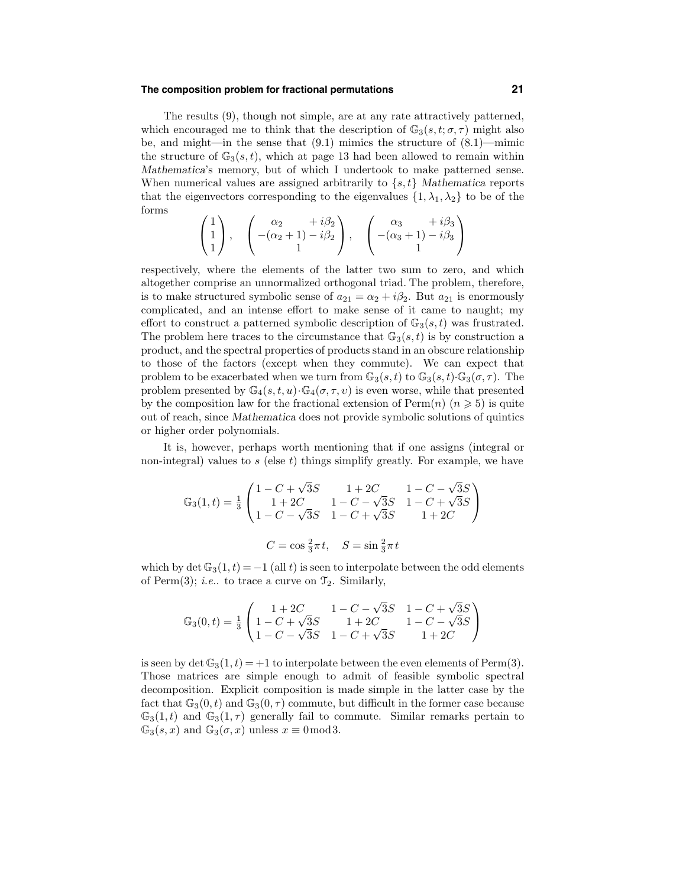#### **The composition problem for fractional permutations 21**

The results (9), though not simple, are at any rate attractively patterned, which encouraged me to think that the description of  $\mathbb{G}_3(s,t;\sigma,\tau)$  might also be, and might—in the sense that  $(9.1)$  mimics the structure of  $(8.1)$ —mimic the structure of  $\mathbb{G}_3(s,t)$ , which at page 13 had been allowed to remain within Mathematica's memory, but of which I undertook to make patterned sense. When numerical values are assigned arbitrarily to  $\{s, t\}$  Mathematica reports that the eigenvectors corresponding to the eigenvalues  $\{1, \lambda_1, \lambda_2\}$  to be of the forms

$$
\begin{pmatrix} 1 \\ 1 \\ 1 \end{pmatrix}, \quad \begin{pmatrix} \alpha_2 & +i\beta_2 \\ -(\alpha_2+1)-i\beta_2 \\ 1 \end{pmatrix}, \quad \begin{pmatrix} \alpha_3 & +i\beta_3 \\ -(\alpha_3+1)-i\beta_3 \\ 1 \end{pmatrix}
$$

respectively, where the elements of the latter two sum to zero, and which altogether comprise an unnormalized orthogonal triad. The problem, therefore, is to make structured symbolic sense of  $a_{21} = \alpha_2 + i\beta_2$ . But  $a_{21}$  is enormously complicated, and an intense effort to make sense of it came to naught; my effort to construct a patterned symbolic description of  $\mathbb{G}_3(s,t)$  was frustrated. The problem here traces to the circumstance that  $\mathbb{G}_3(s,t)$  is by construction a product, and the spectral properties of products stand in an obscure relationship to those of the factors (except when they commute). We can expect that problem to be exacerbated when we turn from  $\mathbb{G}_3(s,t)$  to  $\mathbb{G}_3(s,t)\cdot\mathbb{G}_3(\sigma,\tau)$ . The problem presented by  $\mathbb{G}_4(s,t,u) \cdot \mathbb{G}_4(\sigma,\tau,v)$  is even worse, while that presented by the composition law for the fractional extension of  $\text{Perm}(n)$  ( $n \geq 5$ ) is quite out of reach, since Mathematica does not provide symbolic solutions of quintics or higher order polynomials.

It is, however, perhaps worth mentioning that if one assigns (integral or non-integral) values to  $s$  (else  $t$ ) things simplify greatly. For example, we have

$$
\mathbb{G}_3(1,t) = \frac{1}{3} \begin{pmatrix} 1 - C + \sqrt{3}S & 1 + 2C & 1 - C - \sqrt{3}S \\ 1 + 2C & 1 - C - \sqrt{3}S & 1 - C + \sqrt{3}S \\ 1 - C - \sqrt{3}S & 1 - C + \sqrt{3}S & 1 + 2C \end{pmatrix}
$$

$$
C = \cos\frac{2}{3}\pi t, \quad S = \sin\frac{2}{3}\pi t
$$

which by det  $\mathbb{G}_3(1,t) = -1$  (all t) is seen to interpolate between the odd elements of Perm $(3)$ ; *i.e.*. to trace a curve on  $\mathcal{T}_2$ . Similarly,

$$
\mathbb{G}_3(0,t) = \frac{1}{3} \begin{pmatrix} 1+2C & 1-C-\sqrt{3}S & 1-C+\sqrt{3}S \\ 1-C+\sqrt{3}S & 1+2C & 1-C-\sqrt{3}S \\ 1-C-\sqrt{3}S & 1-C+\sqrt{3}S & 1+2C \end{pmatrix}
$$

is seen by det  $\mathbb{G}_3(1,t) = +1$  to interpolate between the even elements of Perm(3). Those matrices are simple enough to admit of feasible symbolic spectral decomposition. Explicit composition is made simple in the latter case by the fact that  $\mathbb{G}_3(0,t)$  and  $\mathbb{G}_3(0,\tau)$  commute, but difficult in the former case because  $\mathbb{G}_3(1,t)$  and  $\mathbb{G}_3(1,\tau)$  generally fail to commute. Similar remarks pertain to  $\mathbb{G}_3(s, x)$  and  $\mathbb{G}_3(\sigma, x)$  unless  $x \equiv 0 \mod 3$ .